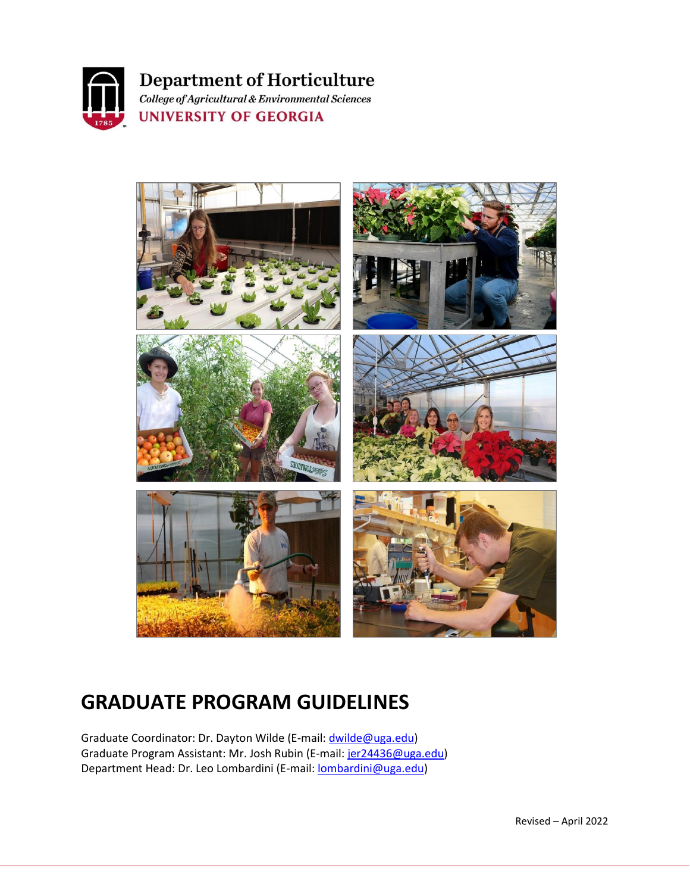

**Department of Horticulture** College of Agricultural & Environmental Sciences

**UNIVERSITY OF GEORGIA** 



# **GRADUATE PROGRAM GUIDELINES**

Graduate Coordinator: Dr. Dayton Wilde (E-mail[: dwilde@uga.edu\)](mailto:dwilde@uga.edu) Graduate Program Assistant: Mr. Josh Rubin (E-mail: [jer24436@uga.edu\)](mailto:jer24436@uga.edu) Department Head: Dr. Leo Lombardini (E-mail: **lombardini@uga.edu**)

Revised – April 2022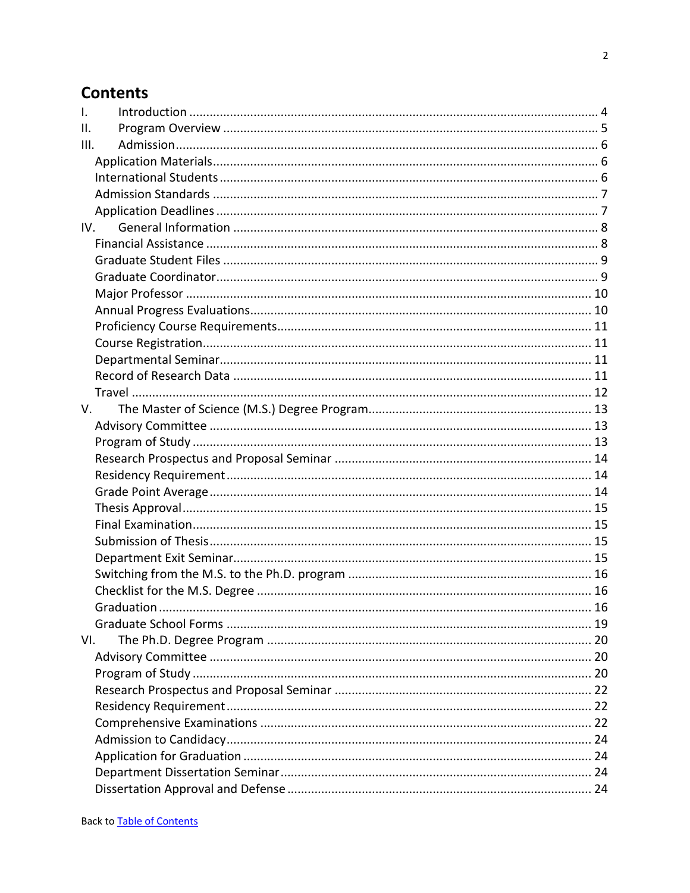# <span id="page-1-0"></span>**Contents**

| $\mathbf{I}$ .  |            |  |
|-----------------|------------|--|
| $\mathbf{II}$ . |            |  |
| III.            |            |  |
|                 |            |  |
|                 |            |  |
|                 |            |  |
|                 |            |  |
|                 | IV.        |  |
|                 |            |  |
|                 |            |  |
|                 |            |  |
|                 |            |  |
|                 |            |  |
|                 |            |  |
|                 |            |  |
|                 |            |  |
|                 |            |  |
|                 |            |  |
| V.              |            |  |
|                 |            |  |
|                 |            |  |
|                 |            |  |
|                 |            |  |
|                 |            |  |
|                 |            |  |
|                 |            |  |
|                 |            |  |
|                 |            |  |
|                 |            |  |
|                 |            |  |
|                 | Graduation |  |
|                 |            |  |
| VI.             |            |  |
|                 |            |  |
|                 |            |  |
|                 |            |  |
|                 |            |  |
|                 |            |  |
|                 |            |  |
|                 |            |  |
|                 |            |  |
|                 |            |  |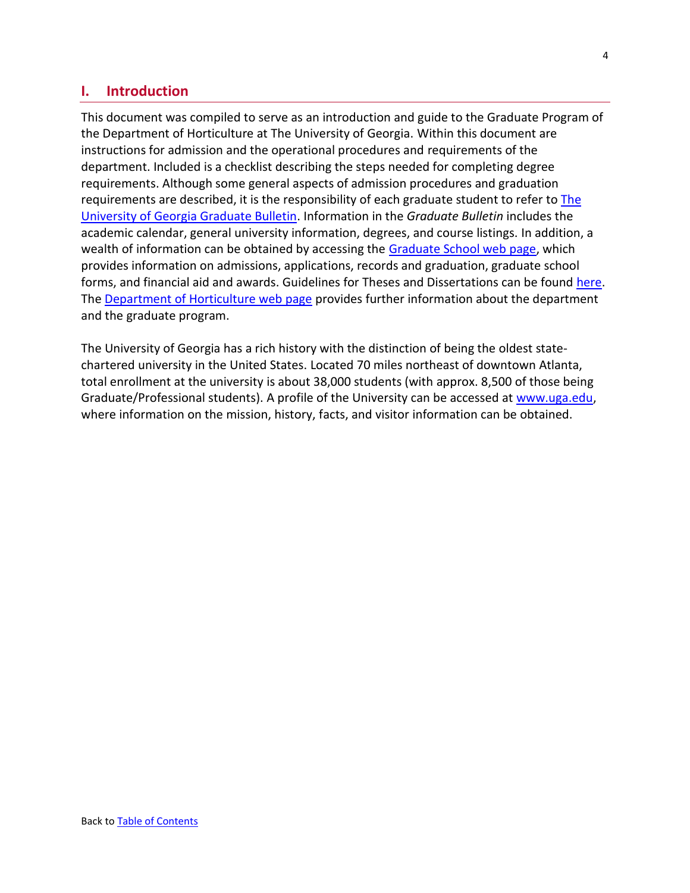# <span id="page-3-0"></span>**I. Introduction**

This document was compiled to serve as an introduction and guide to the Graduate Program of the Department of Horticulture at The University of Georgia. Within this document are instructions for admission and the operational procedures and requirements of the department. Included is a checklist describing the steps needed for completing degree requirements. Although some general aspects of admission procedures and graduation requirements are described, it is the responsibility of each graduate student to refer to [The](https://grad.uga.edu/index.php/current-students/policies-procedures/graduate-bulletin/graduate-bulletin-a-c/)  [University of Georgia Graduate Bulletin.](https://grad.uga.edu/index.php/current-students/policies-procedures/graduate-bulletin/graduate-bulletin-a-c/) Information in the *Graduate Bulletin* includes the academic calendar, general university information, degrees, and course listings. In addition, a wealth of information can be obtained by accessing the [Graduate School web page,](http://grad.uga.edu/) which provides information on admissions, applications, records and graduation, graduate school forms, and financial aid and awards. Guidelines for Theses and Dissertations can be found [here.](http://grad.uga.edu/index.php/current-students/policies-procedures/theses-dissertations-guidelines/theses-and-dissertations-overview/) The [Department of Horticulture web page](http://www.hort.uga.edu/) provides further information about the department and the graduate program.

The University of Georgia has a rich history with the distinction of being the oldest statechartered university in the United States. Located 70 miles northeast of downtown Atlanta, total enrollment at the university is about 38,000 students (with approx. 8,500 of those being Graduate/Professional students). A profile of the University can be accessed at [www.uga.edu,](http://www.uga.edu/) where information on the mission, history, facts, and visitor information can be obtained.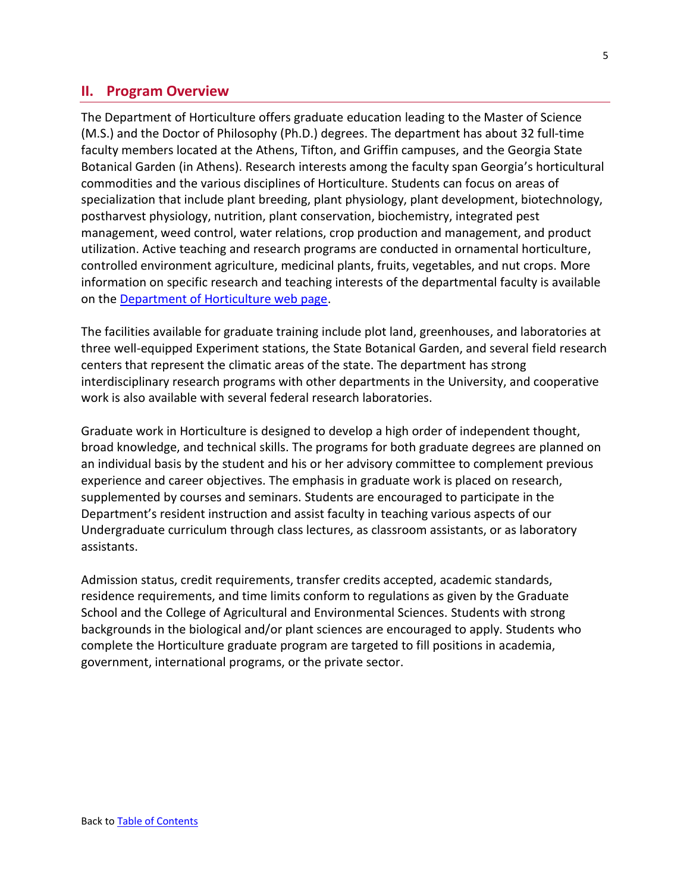# <span id="page-4-0"></span>**II. Program Overview**

The Department of Horticulture offers graduate education leading to the Master of Science (M.S.) and the Doctor of Philosophy (Ph.D.) degrees. The department has about 32 full-time faculty members located at the Athens, Tifton, and Griffin campuses, and the Georgia State Botanical Garden (in Athens). Research interests among the faculty span Georgia's horticultural commodities and the various disciplines of Horticulture. Students can focus on areas of specialization that include plant breeding, plant physiology, plant development, biotechnology, postharvest physiology, nutrition, plant conservation, biochemistry, integrated pest management, weed control, water relations, crop production and management, and product utilization. Active teaching and research programs are conducted in ornamental horticulture, controlled environment agriculture, medicinal plants, fruits, vegetables, and nut crops. More information on specific research and teaching interests of the departmental faculty is available on the [Department of Horticulture web page.](http://www.hort.uga.edu/)

The facilities available for graduate training include plot land, greenhouses, and laboratories at three well-equipped Experiment stations, the State Botanical Garden, and several field research centers that represent the climatic areas of the state. The department has strong interdisciplinary research programs with other departments in the University, and cooperative work is also available with several federal research laboratories.

Graduate work in Horticulture is designed to develop a high order of independent thought, broad knowledge, and technical skills. The programs for both graduate degrees are planned on an individual basis by the student and his or her advisory committee to complement previous experience and career objectives. The emphasis in graduate work is placed on research, supplemented by courses and seminars. Students are encouraged to participate in the Department's resident instruction and assist faculty in teaching various aspects of our Undergraduate curriculum through class lectures, as classroom assistants, or as laboratory assistants.

Admission status, credit requirements, transfer credits accepted, academic standards, residence requirements, and time limits conform to regulations as given by the Graduate School and the College of Agricultural and Environmental Sciences. Students with strong backgrounds in the biological and/or plant sciences are encouraged to apply. Students who complete the Horticulture graduate program are targeted to fill positions in academia, government, international programs, or the private sector.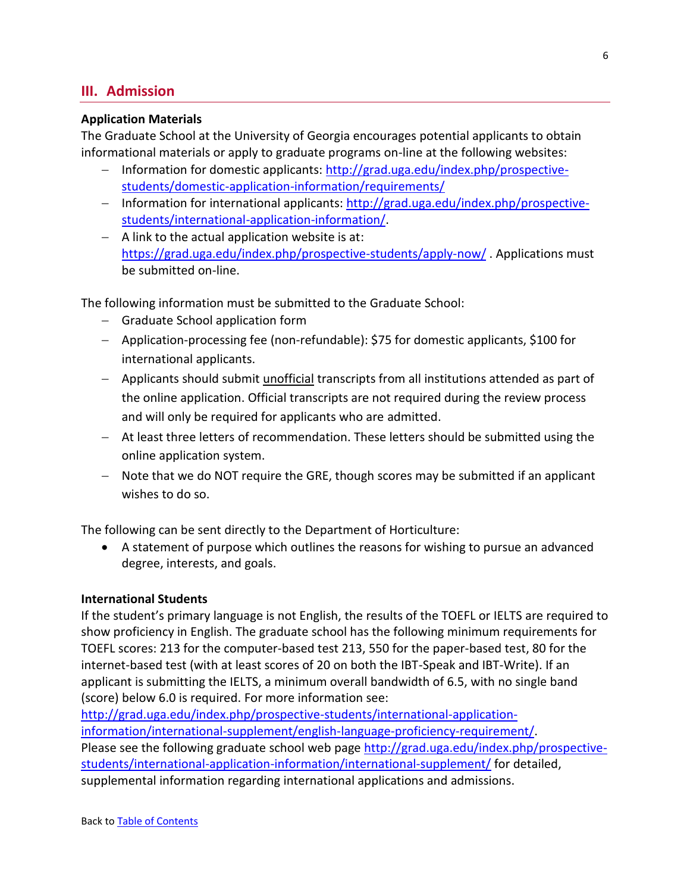# <span id="page-5-0"></span>**III. Admission**

### <span id="page-5-1"></span>**Application Materials**

The Graduate School at the University of Georgia encourages potential applicants to obtain informational materials or apply to graduate programs on-line at the following websites:

- − Information for domestic applicants: [http://grad.uga.edu/index.php/prospective](http://grad.uga.edu/index.php/prospective-students/domestic-application-information/requirements/)[students/domestic-application-information/requirements/](http://grad.uga.edu/index.php/prospective-students/domestic-application-information/requirements/)
- − Information for international applicants: [http://grad.uga.edu/index.php/prospective](http://grad.uga.edu/index.php/prospective-students/international-application-information/)[students/international-application-information/.](http://grad.uga.edu/index.php/prospective-students/international-application-information/)
- − A link to the actual application website is at: <https://grad.uga.edu/index.php/prospective-students/apply-now/> . Applications must be submitted on-line.

The following information must be submitted to the Graduate School:

- − Graduate School application form
- − Application-processing fee (non-refundable): \$75 for domestic applicants, \$100 for international applicants.
- − Applicants should submit unofficial transcripts from all institutions attended as part of the online application. Official transcripts are not required during the review process and will only be required for applicants who are admitted.
- − At least three letters of recommendation. These letters should be submitted using the online application system.
- − Note that we do NOT require the GRE, though scores may be submitted if an applicant wishes to do so.

The following can be sent directly to the Department of Horticulture:

• A statement of purpose which outlines the reasons for wishing to pursue an advanced degree, interests, and goals.

### <span id="page-5-2"></span>**International Students**

If the student's primary language is not English, the results of the TOEFL or IELTS are required to show proficiency in English. The graduate school has the following minimum requirements for TOEFL scores: 213 for the computer-based test 213, 550 for the paper-based test, 80 for the internet-based test (with at least scores of 20 on both the IBT-Speak and IBT-Write). If an applicant is submitting the IELTS, a minimum overall bandwidth of 6.5, with no single band (score) below 6.0 is required. For more information see:

[http://grad.uga.edu/index.php/prospective-students/international-application](http://grad.uga.edu/index.php/prospective-students/international-application-information/international-supplement/english-language-proficiency-requirement/)[information/international-supplement/english-language-proficiency-requirement/.](http://grad.uga.edu/index.php/prospective-students/international-application-information/international-supplement/english-language-proficiency-requirement/) Please see the following graduate school web page [http://grad.uga.edu/index.php/prospective](http://grad.uga.edu/index.php/prospective-students/international-application-information/international-supplement/)[students/international-application-information/international-supplement/](http://grad.uga.edu/index.php/prospective-students/international-application-information/international-supplement/) for detailed, supplemental information regarding international applications and admissions.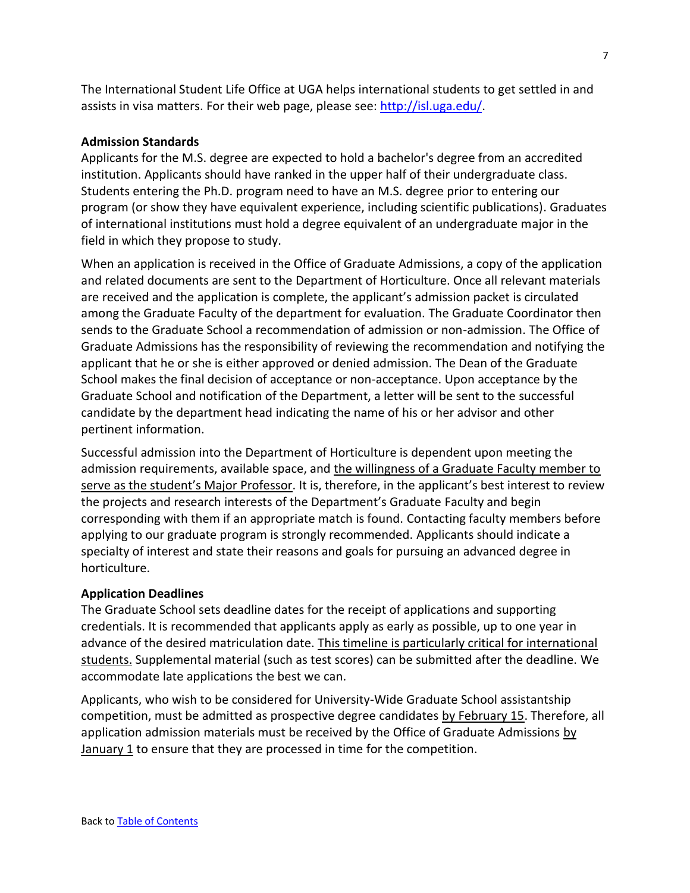The International Student Life Office at UGA helps international students to get settled in and assists in visa matters. For their web page, please see: [http://isl.uga.edu/.](http://isl.uga.edu/)

#### <span id="page-6-0"></span>**Admission Standards**

Applicants for the M.S. degree are expected to hold a bachelor's degree from an accredited institution. Applicants should have ranked in the upper half of their undergraduate class. Students entering the Ph.D. program need to have an M.S. degree prior to entering our program (or show they have equivalent experience, including scientific publications). Graduates of international institutions must hold a degree equivalent of an undergraduate major in the field in which they propose to study.

When an application is received in the Office of Graduate Admissions, a copy of the application and related documents are sent to the Department of Horticulture. Once all relevant materials are received and the application is complete, the applicant's admission packet is circulated among the Graduate Faculty of the department for evaluation. The Graduate Coordinator then sends to the Graduate School a recommendation of admission or non-admission. The Office of Graduate Admissions has the responsibility of reviewing the recommendation and notifying the applicant that he or she is either approved or denied admission. The Dean of the Graduate School makes the final decision of acceptance or non-acceptance. Upon acceptance by the Graduate School and notification of the Department, a letter will be sent to the successful candidate by the department head indicating the name of his or her advisor and other pertinent information.

Successful admission into the Department of Horticulture is dependent upon meeting the admission requirements, available space, and the willingness of a Graduate Faculty member to serve as the student's Major Professor. It is, therefore, in the applicant's best interest to review the projects and research interests of the Department's Graduate Faculty and begin corresponding with them if an appropriate match is found. Contacting faculty members before applying to our graduate program is strongly recommended. Applicants should indicate a specialty of interest and state their reasons and goals for pursuing an advanced degree in horticulture.

#### <span id="page-6-1"></span>**Application Deadlines**

The Graduate School sets deadline dates for the receipt of applications and supporting credentials. It is recommended that applicants apply as early as possible, up to one year in advance of the desired matriculation date. This timeline is particularly critical for international students. Supplemental material (such as test scores) can be submitted after the deadline. We accommodate late applications the best we can.

Applicants, who wish to be considered for University-Wide Graduate School assistantship competition, must be admitted as prospective degree candidates by February 15. Therefore, all application admission materials must be received by the Office of Graduate Admissions by  $January 1$  to ensure that they are processed in time for the competition.

7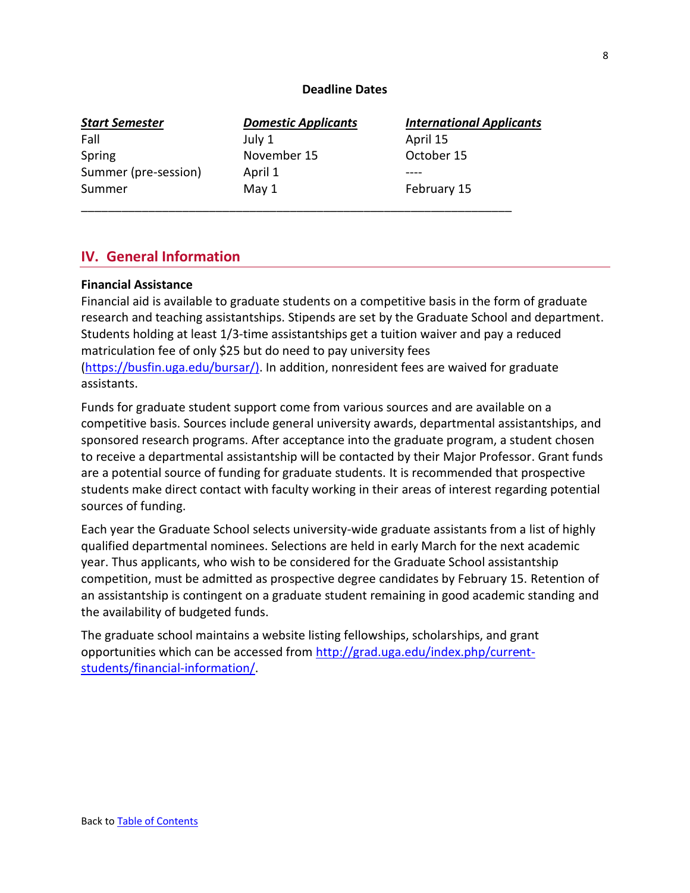### **Deadline Dates**

| <b>Start Semester</b> | <b>Domestic Applicants</b> | <b>International Applicants</b> |
|-----------------------|----------------------------|---------------------------------|
| Fall                  | July 1                     | April 15                        |
| Spring                | November 15                | October 15                      |
| Summer (pre-session)  | April 1                    |                                 |
| Summer                | May 1                      | February 15                     |
|                       |                            |                                 |

# <span id="page-7-0"></span>**IV. General Information**

### <span id="page-7-1"></span>**Financial Assistance**

Financial aid is available to graduate students on a competitive basis in the form of graduate research and teaching assistantships. Stipends are set by the Graduate School and department. Students holding at least 1/3-time assistantships get a tuition waiver and pay a reduced matriculation fee of only \$25 but do need to pay university fees [\(https://busfin.uga.edu/bursar/\)](https://busfin.uga.edu/bursar/). In addition, nonresident fees are waived for graduate assistants.

Funds for graduate student support come from various sources and are available on a competitive basis. Sources include general university awards, departmental assistantships, and sponsored research programs. After acceptance into the graduate program, a student chosen to receive a departmental assistantship will be contacted by their Major Professor. Grant funds are a potential source of funding for graduate students. It is recommended that prospective students make direct contact with faculty working in their areas of interest regarding potential sources of funding.

Each year the Graduate School selects university-wide graduate assistants from a list of highly qualified departmental nominees. Selections are held in early March for the next academic year. Thus applicants, who wish to be considered for the Graduate School assistantship competition, must be admitted as prospective degree candidates by February 15. Retention of an assistantship is contingent on a graduate student remaining in good academic standing and the availability of budgeted funds.

The graduate school maintains a website listing fellowships, scholarships, and grant opportunities which can be accessed from [http://grad.uga.edu/index.php/current](http://grad.uga.edu/index.php/current-students/financial-information/)[students/financial-information/.](http://grad.uga.edu/index.php/current-students/financial-information/)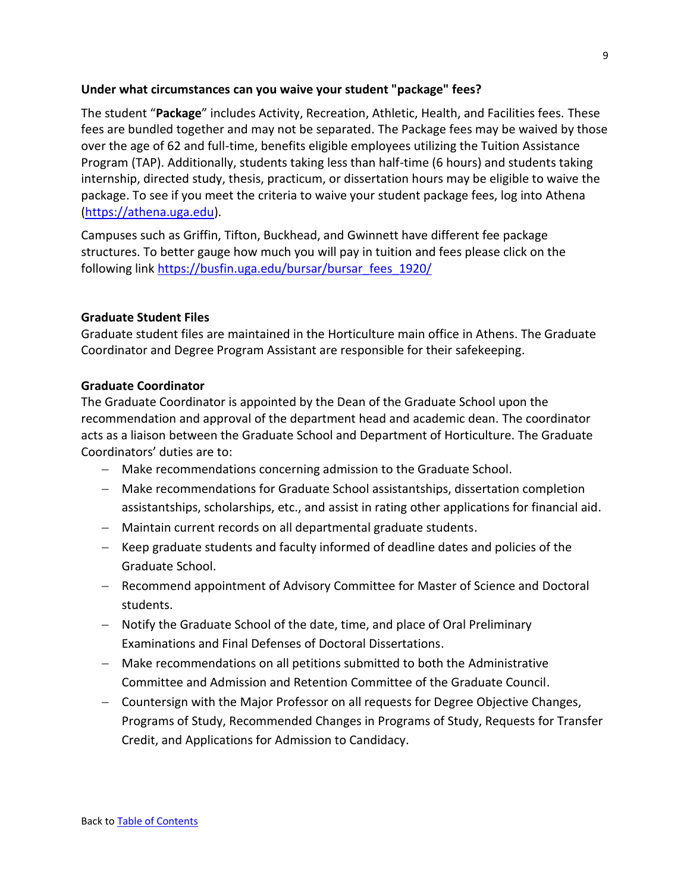### **Under what circumstances can you waive your student "package" fees?**

The student "**Package**" includes Activity, Recreation, Athletic, Health, and Facilities fees. These fees are bundled together and may not be separated. The Package fees may be waived by those over the age of 62 and full-time, benefits eligible employees utilizing the Tuition Assistance Program (TAP). Additionally, students taking less than half-time (6 hours) and students taking internship, directed study, thesis, practicum, or dissertation hours may be eligible to waive the package. To see if you meet the criteria to waive your student package fees, log into Athena [\(https://athena.uga.edu\)](https://athena.uga.edu/).

Campuses such as Griffin, Tifton, Buckhead, and Gwinnett have different fee package structures. To better gauge how much you will pay in tuition and fees please click on the following link [https://busfin.uga.edu/bursar/bursar\\_fees\\_1920/](https://busfin.uga.edu/bursar/bursar_fees_1920/)

### <span id="page-8-0"></span>**Graduate Student Files**

Graduate student files are maintained in the Horticulture main office in Athens. The Graduate Coordinator and Degree Program Assistant are responsible for their safekeeping.

### <span id="page-8-1"></span>**Graduate Coordinator**

The Graduate Coordinator is appointed by the Dean of the Graduate School upon the recommendation and approval of the department head and academic dean. The coordinator acts as a liaison between the Graduate School and Department of Horticulture. The Graduate Coordinators' duties are to:

- − Make recommendations concerning admission to the Graduate School.
- − Make recommendations for Graduate School assistantships, dissertation completion assistantships, scholarships, etc., and assist in rating other applications for financial aid.
- − Maintain current records on all departmental graduate students.
- − Keep graduate students and faculty informed of deadline dates and policies of the Graduate School.
- − Recommend appointment of Advisory Committee for Master of Science and Doctoral students.
- − Notify the Graduate School of the date, time, and place of Oral Preliminary Examinations and Final Defenses of Doctoral Dissertations.
- − Make recommendations on all petitions submitted to both the Administrative Committee and Admission and Retention Committee of the Graduate Council.
- − Countersign with the Major Professor on all requests for Degree Objective Changes, Programs of Study, Recommended Changes in Programs of Study, Requests for Transfer Credit, and Applications for Admission to Candidacy.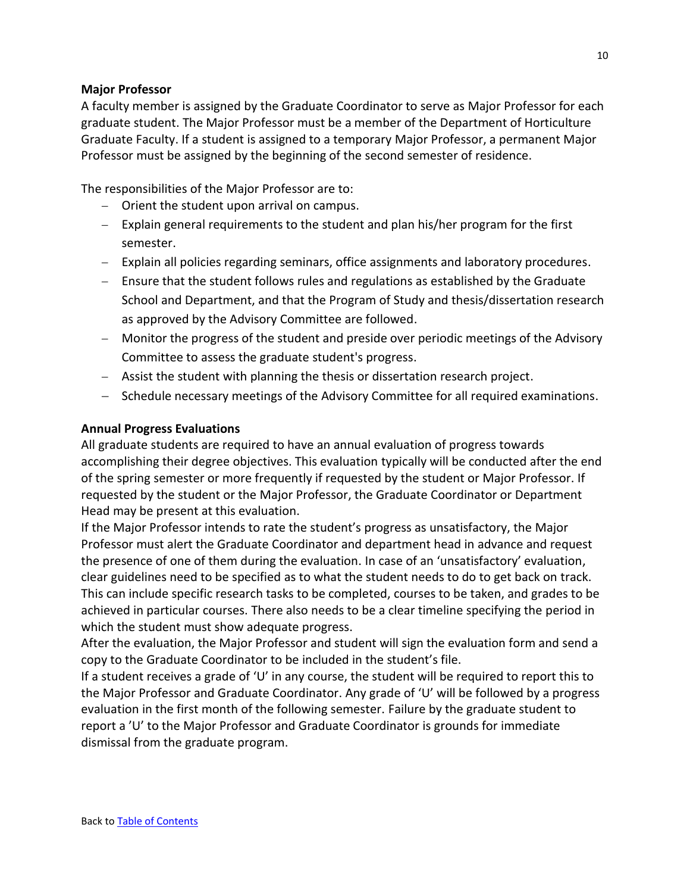### <span id="page-9-0"></span>**Major Professor**

A faculty member is assigned by the Graduate Coordinator to serve as Major Professor for each graduate student. The Major Professor must be a member of the Department of Horticulture Graduate Faculty. If a student is assigned to a temporary Major Professor, a permanent Major Professor must be assigned by the beginning of the second semester of residence.

The responsibilities of the Major Professor are to:

- − Orient the student upon arrival on campus.
- − Explain general requirements to the student and plan his/her program for the first semester.
- − Explain all policies regarding seminars, office assignments and laboratory procedures.
- − Ensure that the student follows rules and regulations as established by the Graduate School and Department, and that the Program of Study and thesis/dissertation research as approved by the Advisory Committee are followed.
- − Monitor the progress of the student and preside over periodic meetings of the Advisory Committee to assess the graduate student's progress.
- − Assist the student with planning the thesis or dissertation research project.
- − Schedule necessary meetings of the Advisory Committee for all required examinations.

### <span id="page-9-1"></span>**Annual Progress Evaluations**

All graduate students are required to have an annual evaluation of progress towards accomplishing their degree objectives. This evaluation typically will be conducted after the end of the spring semester or more frequently if requested by the student or Major Professor. If requested by the student or the Major Professor, the Graduate Coordinator or Department Head may be present at this evaluation.

If the Major Professor intends to rate the student's progress as unsatisfactory, the Major Professor must alert the Graduate Coordinator and department head in advance and request the presence of one of them during the evaluation. In case of an 'unsatisfactory' evaluation, clear guidelines need to be specified as to what the student needs to do to get back on track. This can include specific research tasks to be completed, courses to be taken, and grades to be achieved in particular courses. There also needs to be a clear timeline specifying the period in which the student must show adequate progress.

After the evaluation, the Major Professor and student will sign the evaluation form and send a copy to the Graduate Coordinator to be included in the student's file.

If a student receives a grade of 'U' in any course, the student will be required to report this to the Major Professor and Graduate Coordinator. Any grade of 'U' will be followed by a progress evaluation in the first month of the following semester. Failure by the graduate student to report a 'U' to the Major Professor and Graduate Coordinator is grounds for immediate dismissal from the graduate program.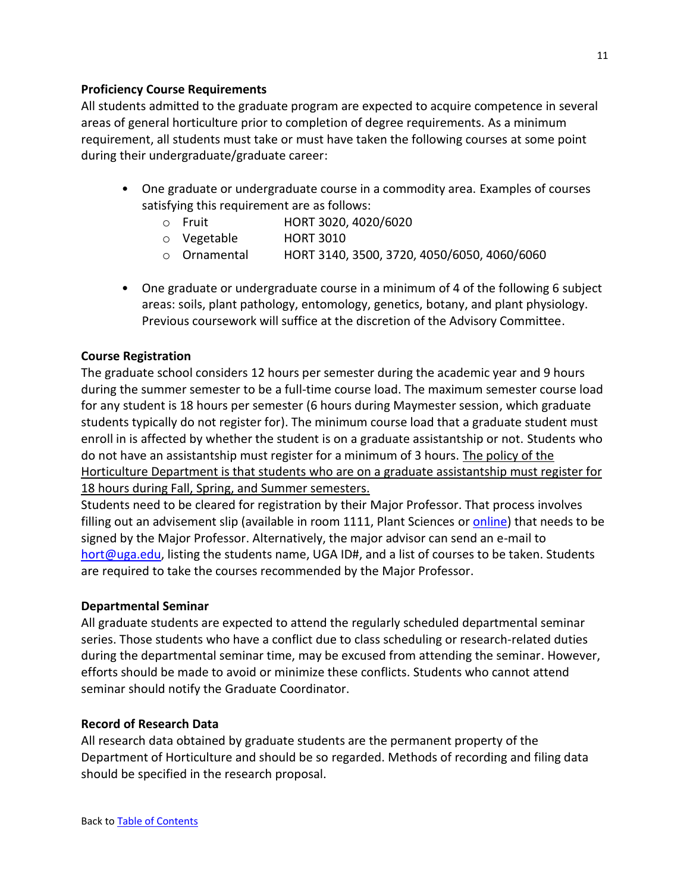### <span id="page-10-0"></span>**Proficiency Course Requirements**

All students admitted to the graduate program are expected to acquire competence in several areas of general horticulture prior to completion of degree requirements. As a minimum requirement, all students must take or must have taken the following courses at some point during their undergraduate/graduate career:

- One graduate or undergraduate course in a commodity area. Examples of courses satisfying this requirement are as follows:
	- o Fruit HORT 3020, 4020/6020
	- o Vegetable HORT 3010
	- o Ornamental HORT 3140, 3500, 3720, 4050/6050, 4060/6060
- One graduate or undergraduate course in a minimum of 4 of the following 6 subject areas: soils, plant pathology, entomology, genetics, botany, and plant physiology. Previous coursework will suffice at the discretion of the Advisory Committee.

### <span id="page-10-1"></span>**Course Registration**

The graduate school considers 12 hours per semester during the academic year and 9 hours during the summer semester to be a full-time course load. The maximum semester course load for any student is 18 hours per semester (6 hours during Maymester session, which graduate students typically do not register for). The minimum course load that a graduate student must enroll in is affected by whether the student is on a graduate assistantship or not. Students who do not have an assistantship must register for a minimum of 3 hours. The policy of the Horticulture Department is that students who are on a graduate assistantship must register for 18 hours during Fall, Spring, and Summer semesters.

Students need to be cleared for registration by their Major Professor. That process involves filling out an advisement slip (available in room 1111, Plant Sciences o[r online\)](https://hort.caes.uga.edu/content/dam/caes-subsite/horticulture/documents/graduate-students/forms/Hort-grad-advisement-form.pdf) that needs to be signed by the Major Professor. Alternatively, the major advisor can send an e-mail to [hort@uga.edu,](mailto:hort@uga.edu) listing the students name, UGA ID#, and a list of courses to be taken. Students are required to take the courses recommended by the Major Professor.

#### <span id="page-10-2"></span>**Departmental Seminar**

All graduate students are expected to attend the regularly scheduled departmental seminar series. Those students who have a conflict due to class scheduling or research-related duties during the departmental seminar time, may be excused from attending the seminar. However, efforts should be made to avoid or minimize these conflicts. Students who cannot attend seminar should notify the Graduate Coordinator.

### <span id="page-10-3"></span>**Record of Research Data**

All research data obtained by graduate students are the permanent property of the Department of Horticulture and should be so regarded. Methods of recording and filing data should be specified in the research proposal.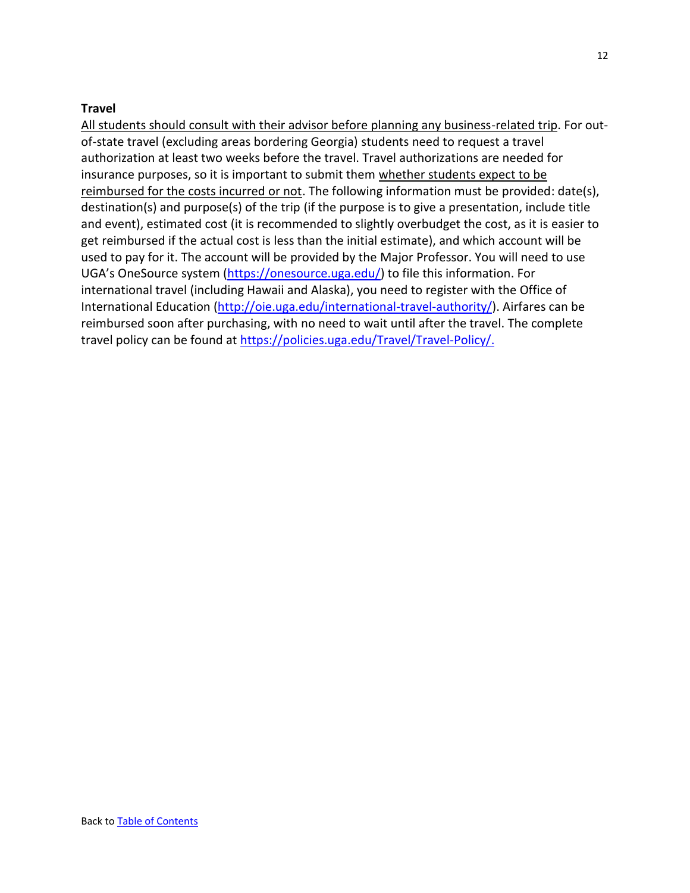### <span id="page-11-0"></span>**Travel**

All students should consult with their advisor before planning any business-related trip. For outof-state travel (excluding areas bordering Georgia) students need to request a travel authorization at least two weeks before the travel. Travel authorizations are needed for insurance purposes, so it is important to submit them whether students expect to be reimbursed for the costs incurred or not. The following information must be provided: date(s), destination(s) and purpose(s) of the trip (if the purpose is to give a presentation, include title and event), estimated cost (it is recommended to slightly overbudget the cost, as it is easier to get reimbursed if the actual cost is less than the initial estimate), and which account will be used to pay for it. The account will be provided by the Major Professor. You will need to use UGA's OneSource system [\(https://onesource.uga.edu/\)](https://onesource.uga.edu/) to file this information. For international travel (including Hawaii and Alaska), you need to register with the Office of International Education [\(http://oie.uga.edu/international-travel-authority/\)](http://oie.uga.edu/international-travel-authority/). Airfares can be reimbursed soon after purchasing, with no need to wait until after the travel. The complete travel policy can be found at [https://policies.uga.edu/Travel/Travel-Policy/.](https://policies.uga.edu/Travel/Travel-Policy/)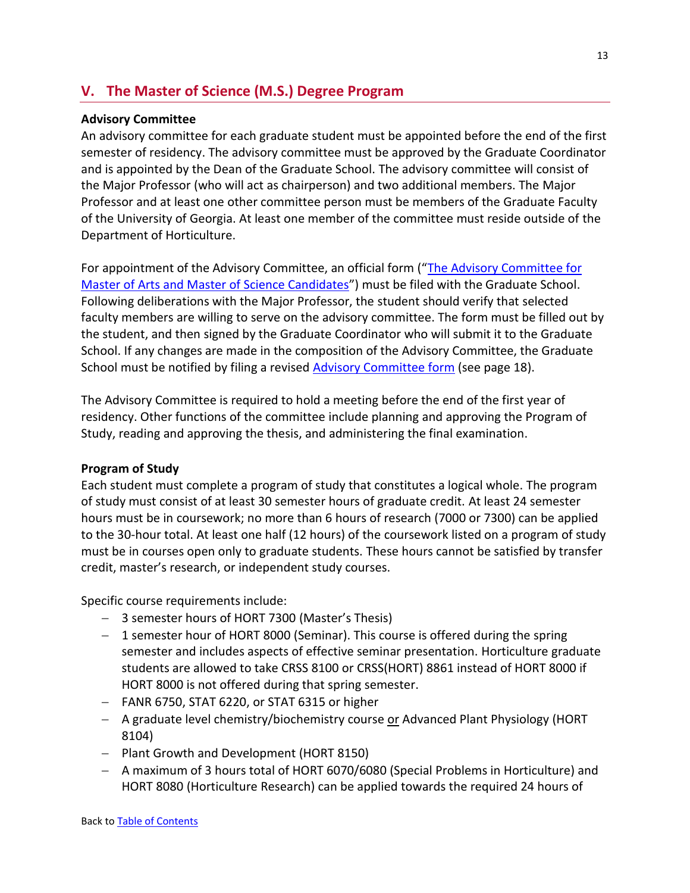# <span id="page-12-0"></span>**V. The Master of Science (M.S.) Degree Program**

### <span id="page-12-1"></span>**Advisory Committee**

An advisory committee for each graduate student must be appointed before the end of the first semester of residency. The advisory committee must be approved by the Graduate Coordinator and is appointed by the Dean of the Graduate School. The advisory committee will consist of the Major Professor (who will act as chairperson) and two additional members. The Major Professor and at least one other committee person must be members of the Graduate Faculty of the University of Georgia. At least one member of the committee must reside outside of the Department of Horticulture.

For appointment of the Advisory Committee, an official form ("The Advisory Committee for [Master of Arts and Master of Science Candidates](https://www.classics.uga.edu/sites/default/files/body_advcomms.pdf)") must be filed with the Graduate School. Following deliberations with the Major Professor, the student should verify that selected faculty members are willing to serve on the advisory committee. The form must be filled out by the student, and then signed by the Graduate Coordinator who will submit it to the Graduate School. If any changes are made in the composition of the Advisory Committee, the Graduate School must be notified by filing a revised [Advisory Committee form](https://gradstatus.uga.edu/Forms/G130) (see page 18).

The Advisory Committee is required to hold a meeting before the end of the first year of residency. Other functions of the committee include planning and approving the Program of Study, reading and approving the thesis, and administering the final examination.

### <span id="page-12-2"></span>**Program of Study**

Each student must complete a program of study that constitutes a logical whole. The program of study must consist of at least 30 semester hours of graduate credit. At least 24 semester hours must be in coursework; no more than 6 hours of research (7000 or 7300) can be applied to the 30-hour total. At least one half (12 hours) of the coursework listed on a program of study must be in courses open only to graduate students. These hours cannot be satisfied by transfer credit, master's research, or independent study courses.

Specific course requirements include:

- − 3 semester hours of HORT 7300 (Master's Thesis)
- − 1 semester hour of HORT 8000 (Seminar). This course is offered during the spring semester and includes aspects of effective seminar presentation. Horticulture graduate students are allowed to take CRSS 8100 or CRSS(HORT) 8861 instead of HORT 8000 if HORT 8000 is not offered during that spring semester.
- − FANR 6750, STAT 6220, or STAT 6315 or higher
- − A graduate level chemistry/biochemistry course or Advanced Plant Physiology (HORT 8104)
- − Plant Growth and Development (HORT 8150)
- − A maximum of 3 hours total of HORT 6070/6080 (Special Problems in Horticulture) and HORT 8080 (Horticulture Research) can be applied towards the required 24 hours of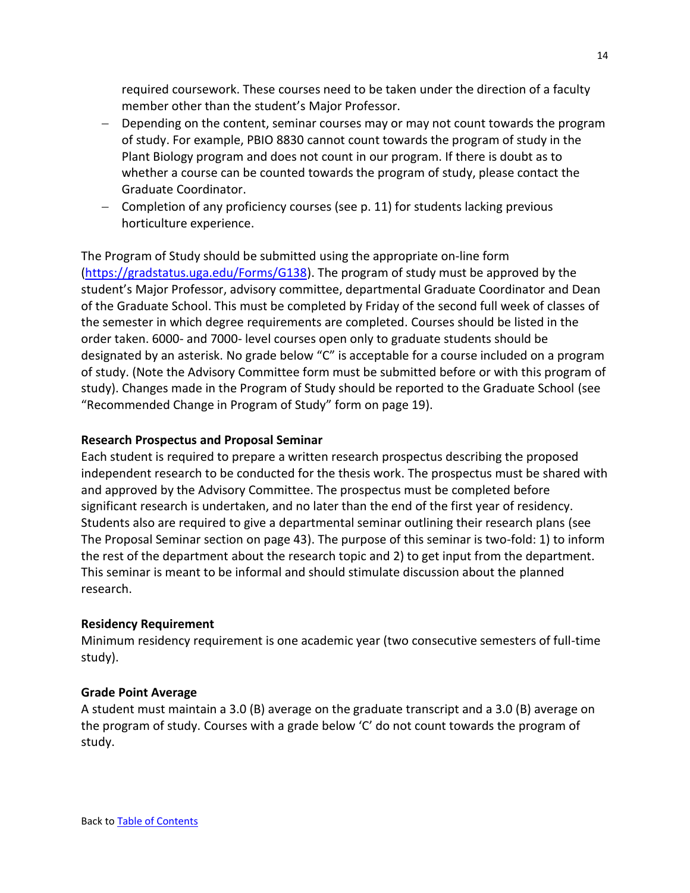required coursework. These courses need to be taken under the direction of a faculty member other than the student's Major Professor.

- − Depending on the content, seminar courses may or may not count towards the program of study. For example, PBIO 8830 cannot count towards the program of study in the Plant Biology program and does not count in our program. If there is doubt as to whether a course can be counted towards the program of study, please contact the Graduate Coordinator.
- − Completion of any proficiency courses (see p. [11\)](#page-10-0) for students lacking previous horticulture experience.

The Program of Study should be submitted using the appropriate on-line form [\(https://gradstatus.uga.edu/Forms/G138\)](https://gradstatus.uga.edu/Forms/G138). The program of study must be approved by the student's Major Professor, advisory committee, departmental Graduate Coordinator and Dean of the Graduate School. This must be completed by Friday of the second full week of classes of the semester in which degree requirements are completed. Courses should be listed in the order taken. 6000- and 7000- level courses open only to graduate students should be designated by an asterisk. No grade below "C" is acceptable for a course included on a program of study. (Note the Advisory Committee form must be submitted before or with this program of study). Changes made in the Program of Study should be reported to the Graduate School (see "Recommended Change in Program of Study" form [on page 19\)](#page-18-0).

### <span id="page-13-0"></span>**Research Prospectus and Proposal Seminar**

Each student is required to prepare a written research prospectus describing the proposed independent research to be conducted for the thesis work. The prospectus must be shared with and approved by the Advisory Committee. The prospectus must be completed before significant research is undertaken, and no later than the end of the first year of residency. Students also are required to give a departmental seminar outlining their research plans (see [The Proposal Seminar](#page-42-0) sectio[n on page 43\)](#page-42-0). The purpose of this seminar is two-fold: 1) to inform the rest of the department about the research topic and 2) to get input from the department. This seminar is meant to be informal and should stimulate discussion about the planned research.

#### <span id="page-13-1"></span>**Residency Requirement**

Minimum residency requirement is one academic year (two consecutive semesters of full-time study).

### <span id="page-13-2"></span>**Grade Point Average**

A student must maintain a 3.0 (B) average on the graduate transcript and a 3.0 (B) average on the program of study. Courses with a grade below 'C' do not count towards the program of study.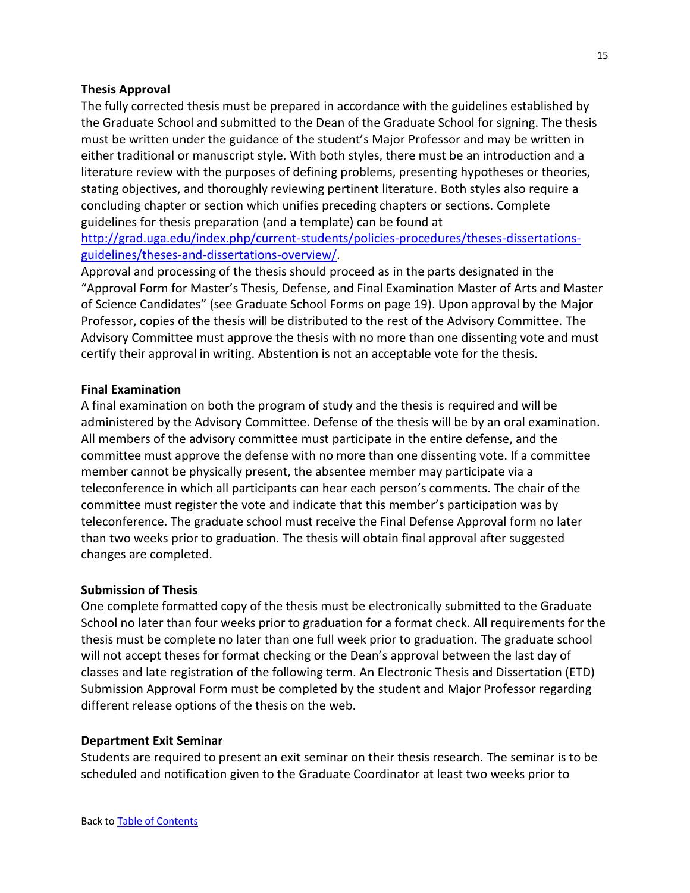#### <span id="page-14-0"></span>**Thesis Approval**

The fully corrected thesis must be prepared in accordance with the guidelines established by the Graduate School and submitted to the Dean of the Graduate School for signing. The thesis must be written under the guidance of the student's Major Professor and may be written in either traditional or manuscript style. With both styles, there must be an introduction and a literature review with the purposes of defining problems, presenting hypotheses or theories, stating objectives, and thoroughly reviewing pertinent literature. Both styles also require a concluding chapter or section which unifies preceding chapters or sections. Complete guidelines for thesis preparation (and a template) can be found at

[http://grad.uga.edu/index.php/current-students/policies-procedures/theses-dissertations](http://grad.uga.edu/index.php/current-students/policies-procedures/theses-dissertations-guidelines/theses-and-dissertations-overview/)[guidelines/theses-and-dissertations-overview/.](http://grad.uga.edu/index.php/current-students/policies-procedures/theses-dissertations-guidelines/theses-and-dissertations-overview/)

Approval and processing of the thesis should proceed as in the parts designated in the "Approval Form for Master's Thesis, Defense, and Final Examination Master of Arts and Master of Science Candidates" (see [Graduate School Forms](#page-18-0) [on page 19\)](#page-18-0). Upon approval by the Major Professor, copies of the thesis will be distributed to the rest of the Advisory Committee. The Advisory Committee must approve the thesis with no more than one dissenting vote and must certify their approval in writing. Abstention is not an acceptable vote for the thesis.

#### <span id="page-14-1"></span>**Final Examination**

A final examination on both the program of study and the thesis is required and will be administered by the Advisory Committee. Defense of the thesis will be by an oral examination. All members of the advisory committee must participate in the entire defense, and the committee must approve the defense with no more than one dissenting vote. If a committee member cannot be physically present, the absentee member may participate via a teleconference in which all participants can hear each person's comments. The chair of the committee must register the vote and indicate that this member's participation was by teleconference. The graduate school must receive the Final Defense Approval form no later than two weeks prior to graduation. The thesis will obtain final approval after suggested changes are completed.

#### <span id="page-14-2"></span>**Submission of Thesis**

One complete formatted copy of the thesis must be electronically submitted to the Graduate School no later than four weeks prior to graduation for a format check. All requirements for the thesis must be complete no later than one full week prior to graduation. The graduate school will not accept theses for format checking or the Dean's approval between the last day of classes and late registration of the following term. An Electronic Thesis and Dissertation (ETD) Submission Approval Form must be completed by the student and Major Professor regarding different release options of the thesis on the web.

#### <span id="page-14-3"></span>**Department Exit Seminar**

Students are required to present an exit seminar on their thesis research. The seminar is to be scheduled and notification given to the Graduate Coordinator at least two weeks prior to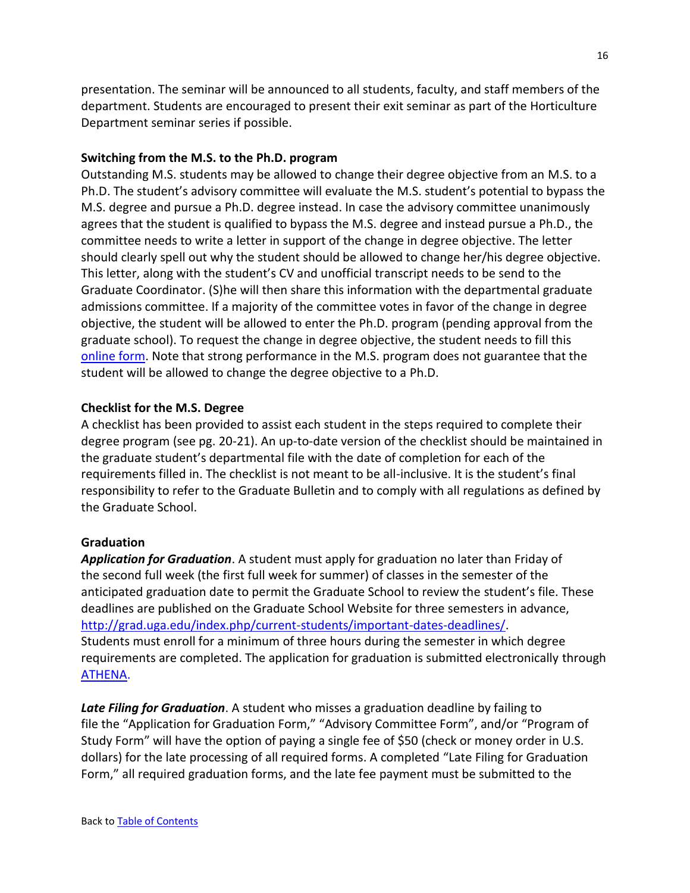presentation. The seminar will be announced to all students, faculty, and staff members of the department. Students are encouraged to present their exit seminar as part of the Horticulture Department seminar series if possible.

### <span id="page-15-0"></span>**Switching from the M.S. to the Ph.D. program**

Outstanding M.S. students may be allowed to change their degree objective from an M.S. to a Ph.D. The student's advisory committee will evaluate the M.S. student's potential to bypass the M.S. degree and pursue a Ph.D. degree instead. In case the advisory committee unanimously agrees that the student is qualified to bypass the M.S. degree and instead pursue a Ph.D., the committee needs to write a letter in support of the change in degree objective. The letter should clearly spell out why the student should be allowed to change her/his degree objective. This letter, along with the student's CV and unofficial transcript needs to be send to the Graduate Coordinator. (S)he will then share this information with the departmental graduate admissions committee. If a majority of the committee votes in favor of the change in degree objective, the student will be allowed to enter the Ph.D. program (pending approval from the graduate school). To request the change in degree objective, the student needs to fill this [online form.](https://gradstatus.uga.edu/Forms/G136) Note that strong performance in the M.S. program does not guarantee that the student will be allowed to change the degree objective to a Ph.D.

### <span id="page-15-1"></span>**Checklist for the M.S. Degree**

A checklist has been provided to assist each student in the steps required to complete their degree program (see pg. 20-21). An up-to-date version of the checklist should be maintained in the graduate student's departmental file with the date of completion for each of the requirements filled in. The checklist is not meant to be all-inclusive. It is the student's final responsibility to refer to the Graduate Bulletin and to comply with all regulations as defined by the Graduate School.

### <span id="page-15-2"></span>**Graduation**

*Application for Graduation*. A student must apply for graduation no later than Friday of the second full week (the first full week for summer) of classes in the semester of the anticipated graduation date to permit the Graduate School to review the student's file. These deadlines are published on the Graduate School Website for three semesters in advance, [http://grad.uga.edu/index.php/current-students/important-dates-deadlines/.](http://grad.uga.edu/index.php/current-students/important-dates-deadlines/) Students must enroll for a minimum of three hours during the semester in which degree requirements are completed. The application for graduation is submitted electronically through [ATHENA.](https://sis-ssb-prod.uga.edu/PROD/twbkwbis.P_GenMenu?name=homepage)

*Late Filing for Graduation*. A student who misses a graduation deadline by failing to file the "Application for Graduation Form," "Advisory Committee Form", and/or "Program of Study Form" will have the option of paying a single fee of \$50 (check or money order in U.S. dollars) for the late processing of all required forms. A completed "Late Filing for Graduation Form," all required graduation forms, and the late fee payment must be submitted to the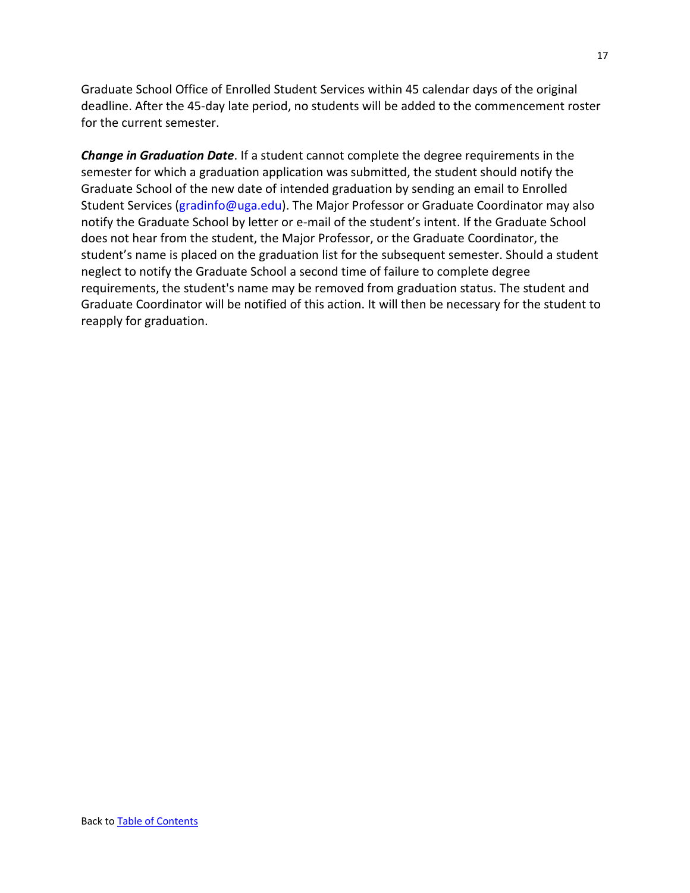Graduate School Office of Enrolled Student Services within 45 calendar days of the original deadline. After the 45-day late period, no students will be added to the commencement roster for the current semester.

*Change in Graduation Date*. If a student cannot complete the degree requirements in the semester for which a graduation application was submitted, the student should notify the Graduate School of the new date of intended graduation by sending an email to Enrolled Student Services (gradinfo@uga.edu). The Major Professor or Graduate Coordinator may also notify the Graduate School by letter or e-mail of the student's intent. If the Graduate School does not hear from the student, the Major Professor, or the Graduate Coordinator, the student's name is placed on the graduation list for the subsequent semester. Should a student neglect to notify the Graduate School a second time of failure to complete degree requirements, the student's name may be removed from graduation status. The student and Graduate Coordinator will be notified of this action. It will then be necessary for the student to reapply for graduation.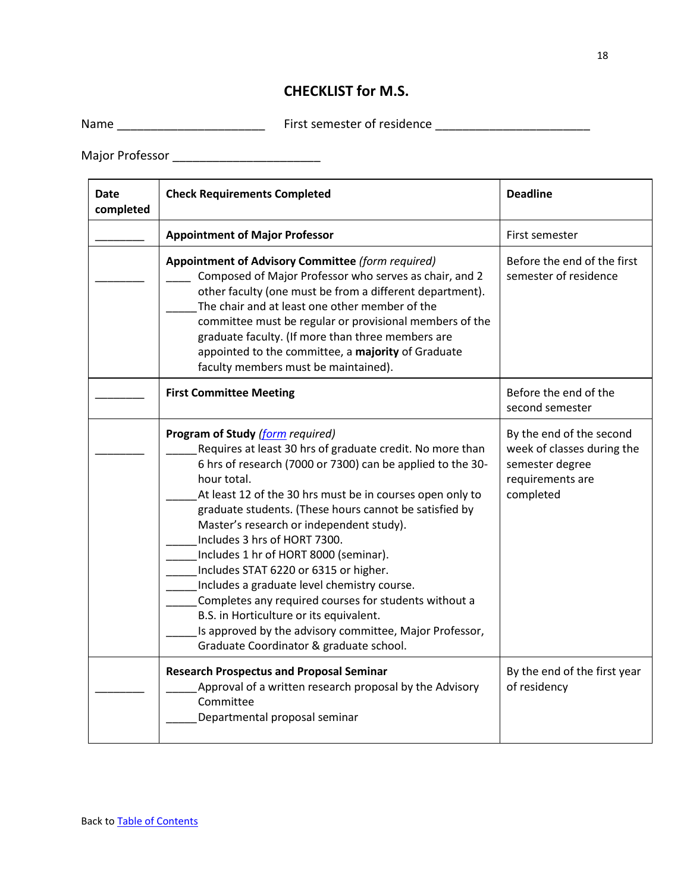# **CHECKLIST for M.S.**

Name \_\_\_\_\_\_\_\_\_\_\_\_\_\_\_\_\_\_\_\_\_\_ First semester of residence \_\_\_\_\_\_\_\_\_\_\_\_\_\_\_\_\_\_\_\_\_\_\_

Major Professor \_\_\_\_\_\_\_\_\_\_\_\_\_\_\_\_\_\_\_\_\_\_

| <b>Date</b><br>completed | <b>Check Requirements Completed</b>                                                                                                                                                                                                                                                                                                                                                                                                                                                                                                                                                                                                                                                                                      | <b>Deadline</b>                                                                                            |
|--------------------------|--------------------------------------------------------------------------------------------------------------------------------------------------------------------------------------------------------------------------------------------------------------------------------------------------------------------------------------------------------------------------------------------------------------------------------------------------------------------------------------------------------------------------------------------------------------------------------------------------------------------------------------------------------------------------------------------------------------------------|------------------------------------------------------------------------------------------------------------|
|                          | <b>Appointment of Major Professor</b>                                                                                                                                                                                                                                                                                                                                                                                                                                                                                                                                                                                                                                                                                    | First semester                                                                                             |
|                          | Appointment of Advisory Committee (form required)<br>Composed of Major Professor who serves as chair, and 2<br>other faculty (one must be from a different department).<br>The chair and at least one other member of the<br>committee must be regular or provisional members of the<br>graduate faculty. (If more than three members are<br>appointed to the committee, a majority of Graduate<br>faculty members must be maintained).                                                                                                                                                                                                                                                                                  | Before the end of the first<br>semester of residence                                                       |
|                          | <b>First Committee Meeting</b>                                                                                                                                                                                                                                                                                                                                                                                                                                                                                                                                                                                                                                                                                           | Before the end of the<br>second semester                                                                   |
|                          | Program of Study (form required)<br>Requires at least 30 hrs of graduate credit. No more than<br>6 hrs of research (7000 or 7300) can be applied to the 30-<br>hour total.<br>At least 12 of the 30 hrs must be in courses open only to<br>graduate students. (These hours cannot be satisfied by<br>Master's research or independent study).<br>Includes 3 hrs of HORT 7300.<br>Includes 1 hr of HORT 8000 (seminar).<br>Includes STAT 6220 or 6315 or higher.<br>Includes a graduate level chemistry course.<br>Completes any required courses for students without a<br>B.S. in Horticulture or its equivalent.<br>Is approved by the advisory committee, Major Professor,<br>Graduate Coordinator & graduate school. | By the end of the second<br>week of classes during the<br>semester degree<br>requirements are<br>completed |
|                          | <b>Research Prospectus and Proposal Seminar</b><br>Approval of a written research proposal by the Advisory<br>Committee<br>Departmental proposal seminar                                                                                                                                                                                                                                                                                                                                                                                                                                                                                                                                                                 | By the end of the first year<br>of residency                                                               |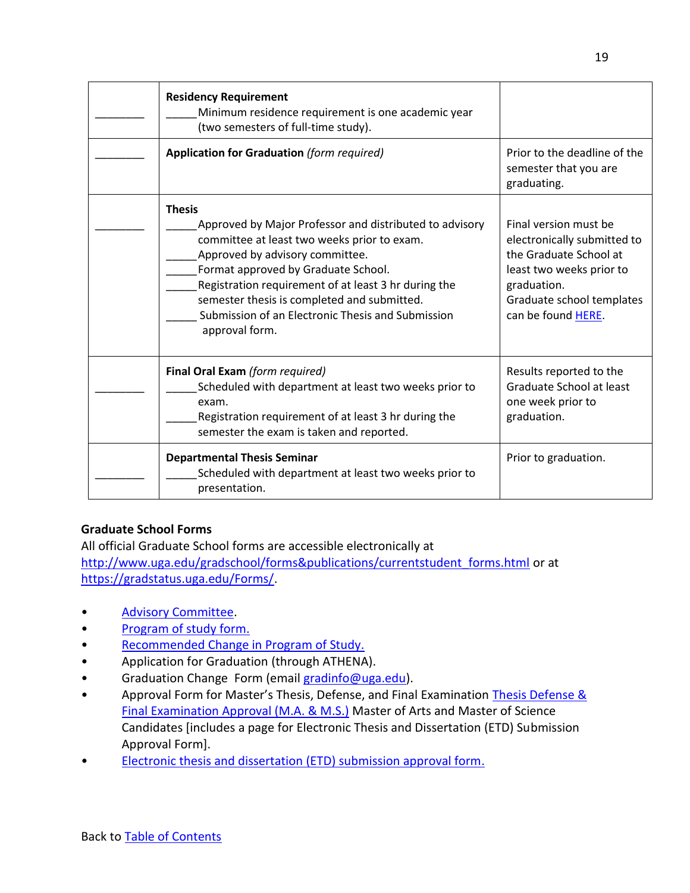| <b>Residency Requirement</b><br>Minimum residence requirement is one academic year<br>(two semesters of full-time study).                                                                                                                                                                                                                                                       |                                                                                                                                                                              |
|---------------------------------------------------------------------------------------------------------------------------------------------------------------------------------------------------------------------------------------------------------------------------------------------------------------------------------------------------------------------------------|------------------------------------------------------------------------------------------------------------------------------------------------------------------------------|
| <b>Application for Graduation (form required)</b>                                                                                                                                                                                                                                                                                                                               | Prior to the deadline of the<br>semester that you are<br>graduating.                                                                                                         |
| <b>Thesis</b><br>Approved by Major Professor and distributed to advisory<br>committee at least two weeks prior to exam.<br>Approved by advisory committee.<br>Format approved by Graduate School.<br>Registration requirement of at least 3 hr during the<br>semester thesis is completed and submitted.<br>Submission of an Electronic Thesis and Submission<br>approval form. | Final version must be<br>electronically submitted to<br>the Graduate School at<br>least two weeks prior to<br>graduation.<br>Graduate school templates<br>can be found HERE. |
| <b>Final Oral Exam (form required)</b><br>Scheduled with department at least two weeks prior to<br>exam.<br>Registration requirement of at least 3 hr during the<br>semester the exam is taken and reported.                                                                                                                                                                    | Results reported to the<br>Graduate School at least<br>one week prior to<br>graduation.                                                                                      |
| <b>Departmental Thesis Seminar</b><br>Scheduled with department at least two weeks prior to<br>presentation.                                                                                                                                                                                                                                                                    | Prior to graduation.                                                                                                                                                         |

# <span id="page-18-0"></span>**Graduate School Forms**

All official Graduate School forms are accessible electronically at [http://www.uga.edu/gradschool/forms&publications/currentstudent\\_forms.html](http://www.uga.edu/gradschool/forms&publications/currentstudent_forms.html) or at [https://gradstatus.uga.edu/Forms/.](https://gradstatus.uga.edu/Forms/)

- [Advisory Committee.](https://gradstatus.uga.edu/Forms/G130)
- [Program of study form.](https://gradstatus.uga.edu/Forms/G138)
- [Recommended Change in Program of Study.](http://grad.uga.edu/wp-content/uploads/2017/08/body_recochgprog.pdf)
- Application for Graduation (through ATHENA).
- Graduation Change [Form](http://grad.uga.edu/wp-content/uploads/2014/11/body_changeform.pdf) (email [gradinfo@uga.edu\)](mailto:gradinfo@uga.edu).
- Approval Form for Master's Thesis, Defense, and Final Examination Thesis Defense & [Final Examination Approval \(M.A. & M.S.\)](https://grad.uga.edu/wp-content/uploads/2019/05/body_apprform_V1.pdf) Master of Arts and Master of Science Candidates [includes a page for Electronic Thesis and Dissertation (ETD) Submission Approval Form].
- [Electronic thesis and dissertation \(ETD\) submission approval form.](https://gradstatus.uga.edu/Forms/G129)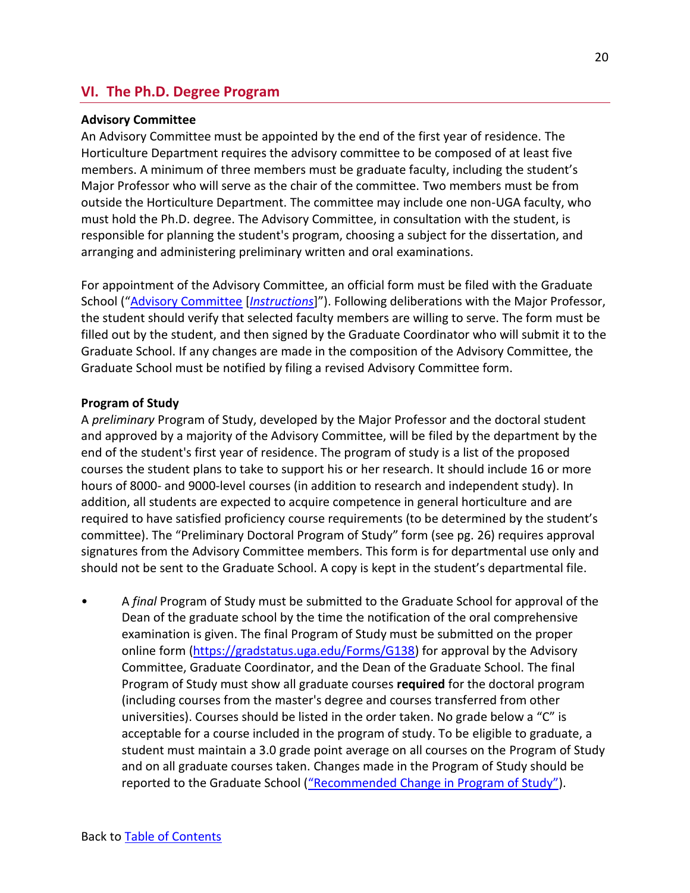# <span id="page-19-0"></span>**VI. The Ph.D. Degree Program**

### <span id="page-19-1"></span>**Advisory Committee**

An Advisory Committee must be appointed by the end of the first year of residence. The Horticulture Department requires the advisory committee to be composed of at least five members. A minimum of three members must be graduate faculty, including the student's Major Professor who will serve as the chair of the committee. Two members must be from outside the Horticulture Department. The committee may include one non-UGA faculty, who must hold the Ph.D. degree. The Advisory Committee, in consultation with the student, is responsible for planning the student's program, choosing a subject for the dissertation, and arranging and administering preliminary written and oral examinations.

For appointment of the Advisory Committee, an official form must be filed with the Graduate School ("[Advisory Committee](https://gradstatus.uga.edu/Forms/G130) [*[Instructions](http://grad.uga.edu/wp-content/uploads/2018/01/Advisory-Committee-form-how-to-submit1.pdf)*]"). Following deliberations with the Major Professor, the student should verify that selected faculty members are willing to serve. The form must be filled out by the student, and then signed by the Graduate Coordinator who will submit it to the Graduate School. If any changes are made in the composition of the Advisory Committee, the Graduate School must be notified by filing a revised Advisory Committee form.

### <span id="page-19-2"></span>**Program of Study**

A *preliminary* Program of Study, developed by the Major Professor and the doctoral student and approved by a majority of the Advisory Committee, will be filed by the department by the end of the student's first year of residence. The program of study is a list of the proposed courses the student plans to take to support his or her research. It should include 16 or more hours of 8000- and 9000-level courses (in addition to research and independent study). In addition, all students are expected to acquire competence in general horticulture and are required to have satisfied proficiency course requirements (to be determined by the student's committee). The "Preliminary Doctoral Program of Study" form (see pg. 26) requires approval signatures from the Advisory Committee members. This form is for departmental use only and should not be sent to the Graduate School. A copy is kept in the student's departmental file.

• A *final* Program of Study must be submitted to the Graduate School for approval of the Dean of the graduate school by the time the notification of the oral comprehensive examination is given. The final Program of Study must be submitted on the proper online form [\(https://gradstatus.uga.edu/Forms/G138\)](https://gradstatus.uga.edu/Forms/G138) for approval by the Advisory Committee, Graduate Coordinator, and the Dean of the Graduate School. The final Program of Study must show all graduate courses **required** for the doctoral program (including courses from the master's degree and courses transferred from other universities). Courses should be listed in the order taken. No grade below a "C" is acceptable for a course included in the program of study. To be eligible to graduate, a student must maintain a 3.0 grade point average on all courses on the Program of Study and on all graduate courses taken. Changes made in the Program of Study should be reported to the Graduate School ("[Recommended Change in Program of Study](https://grad.uga.edu/wp-content/uploads/2017/08/body_recochgprog.pdf)").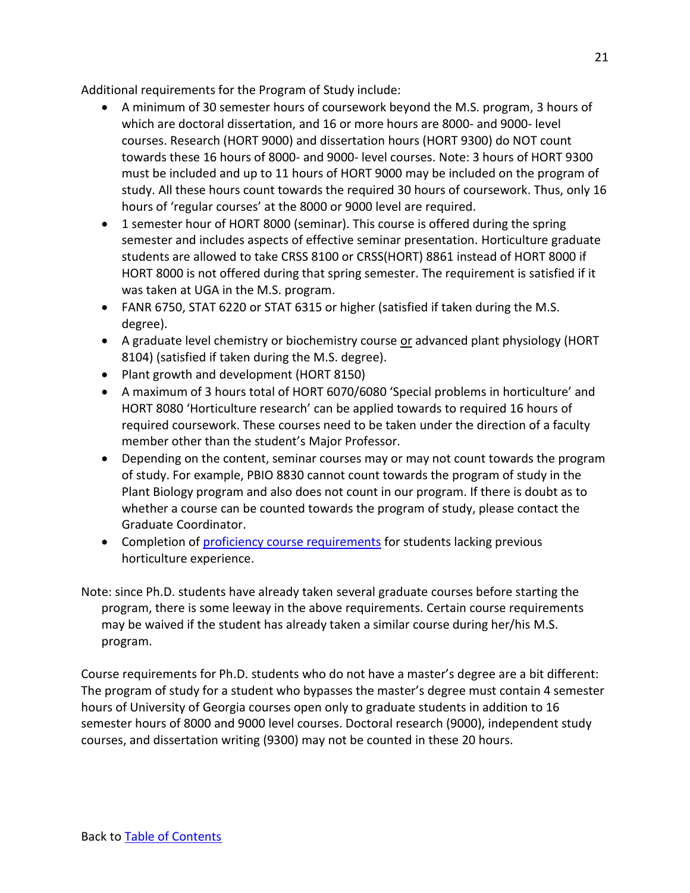Additional requirements for the Program of Study include:

- A minimum of 30 semester hours of coursework beyond the M.S. program, 3 hours of which are doctoral dissertation, and 16 or more hours are 8000- and 9000- level courses. Research (HORT 9000) and dissertation hours (HORT 9300) do NOT count towards these 16 hours of 8000- and 9000- level courses. Note: 3 hours of HORT 9300 must be included and up to 11 hours of HORT 9000 may be included on the program of study. All these hours count towards the required 30 hours of coursework. Thus, only 16 hours of 'regular courses' at the 8000 or 9000 level are required.
- 1 semester hour of HORT 8000 (seminar). This course is offered during the spring semester and includes aspects of effective seminar presentation. Horticulture graduate students are allowed to take CRSS 8100 or CRSS(HORT) 8861 instead of HORT 8000 if HORT 8000 is not offered during that spring semester. The requirement is satisfied if it was taken at UGA in the M.S. program.
- FANR 6750, STAT 6220 or STAT 6315 or higher (satisfied if taken during the M.S. degree).
- A graduate level chemistry or biochemistry course or advanced plant physiology (HORT 8104) (satisfied if taken during the M.S. degree).
- Plant growth and development (HORT 8150)
- A maximum of 3 hours total of HORT 6070/6080 'Special problems in horticulture' and HORT 8080 'Horticulture research' can be applied towards to required 16 hours of required coursework. These courses need to be taken under the direction of a faculty member other than the student's Major Professor.
- Depending on the content, seminar courses may or may not count towards the program of study. For example, PBIO 8830 cannot count towards the program of study in the Plant Biology program and also does not count in our program. If there is doubt as to whether a course can be counted towards the program of study, please contact the Graduate Coordinator.
- Completion of [proficiency course requirements](#page-10-0) for students lacking previous horticulture experience.

Note: since Ph.D. students have already taken several graduate courses before starting the program, there is some leeway in the above requirements. Certain course requirements may be waived if the student has already taken a similar course during her/his M.S. program.

Course requirements for Ph.D. students who do not have a master's degree are a bit different: The program of study for a student who bypasses the master's degree must contain 4 semester hours of University of Georgia courses open only to graduate students in addition to 16 semester hours of 8000 and 9000 level courses. Doctoral research (9000), independent study courses, and dissertation writing (9300) may not be counted in these 20 hours.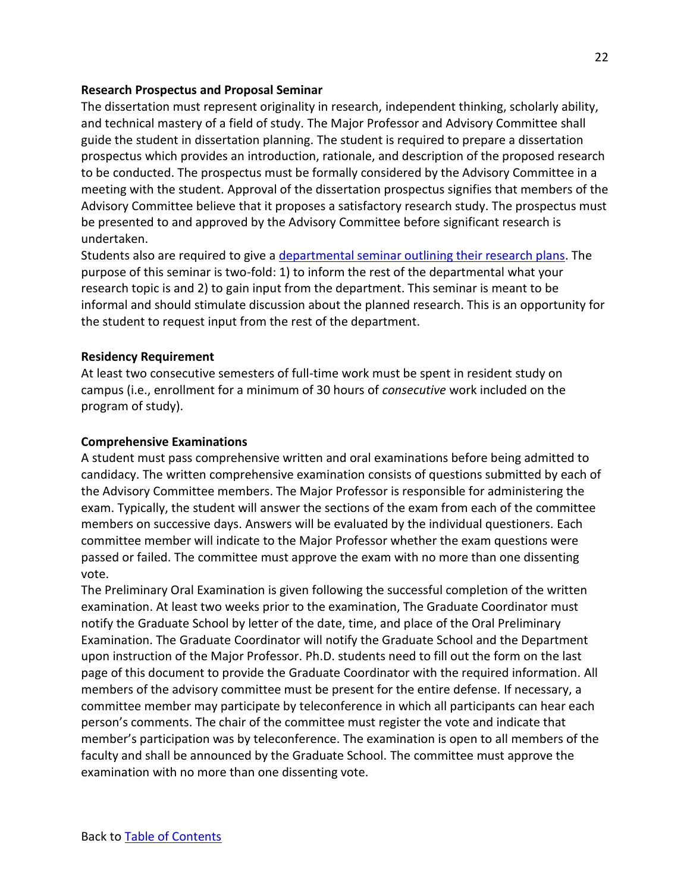### <span id="page-21-0"></span>**Research Prospectus and Proposal Seminar**

The dissertation must represent originality in research, independent thinking, scholarly ability, and technical mastery of a field of study. The Major Professor and Advisory Committee shall guide the student in dissertation planning. The student is required to prepare a dissertation prospectus which provides an introduction, rationale, and description of the proposed research to be conducted. The prospectus must be formally considered by the Advisory Committee in a meeting with the student. Approval of the dissertation prospectus signifies that members of the Advisory Committee believe that it proposes a satisfactory research study. The prospectus must be presented to and approved by the Advisory Committee before significant research is undertaken.

Students also are required to give a [departmental seminar outlining their research plans.](#page-42-0) The purpose of this seminar is two-fold: 1) to inform the rest of the departmental what your research topic is and 2) to gain input from the department. This seminar is meant to be informal and should stimulate discussion about the planned research. This is an opportunity for the student to request input from the rest of the department.

# <span id="page-21-1"></span>**Residency Requirement**

At least two consecutive semesters of full-time work must be spent in resident study on campus (i.e., enrollment for a minimum of 30 hours of *consecutive* work included on the program of study).

### <span id="page-21-2"></span>**Comprehensive Examinations**

A student must pass comprehensive written and oral examinations before being admitted to candidacy. The written comprehensive examination consists of questions submitted by each of the Advisory Committee members. The Major Professor is responsible for administering the exam. Typically, the student will answer the sections of the exam from each of the committee members on successive days. Answers will be evaluated by the individual questioners. Each committee member will indicate to the Major Professor whether the exam questions were passed or failed. The committee must approve the exam with no more than one dissenting vote.

The Preliminary Oral Examination is given following the successful completion of the written examination. At least two weeks prior to the examination, The Graduate Coordinator must notify the Graduate School by letter of the date, time, and place of the Oral Preliminary Examination. The Graduate Coordinator will notify the Graduate School and the Department upon instruction of the Major Professor. Ph.D. students need to fill out the form on the last page of this document to provide the Graduate Coordinator with the required information. All members of the advisory committee must be present for the entire defense. If necessary, a committee member may participate by teleconference in which all participants can hear each person's comments. The chair of the committee must register the vote and indicate that member's participation was by teleconference. The examination is open to all members of the faculty and shall be announced by the Graduate School. The committee must approve the examination with no more than one dissenting vote.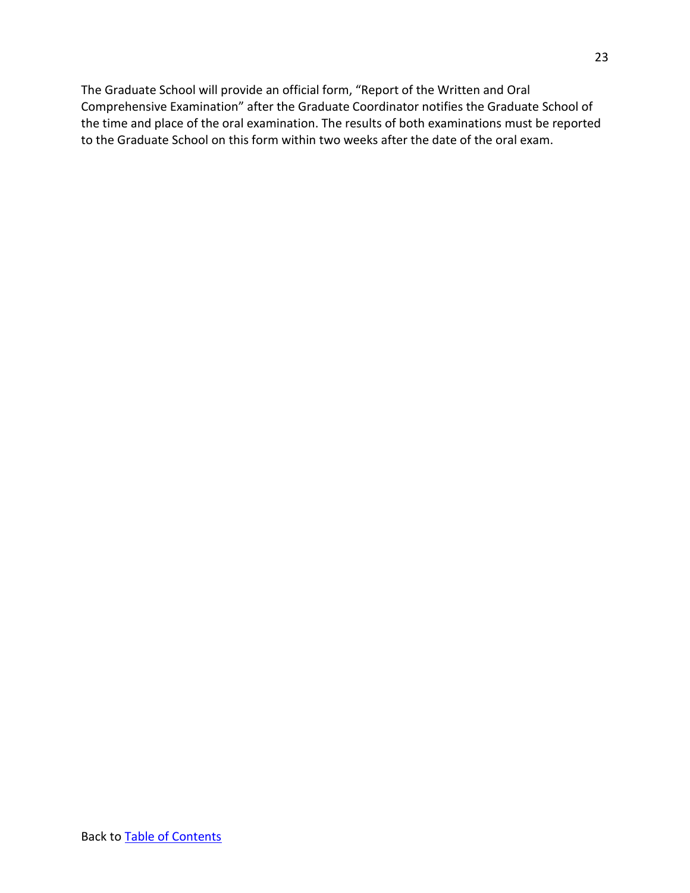The Graduate School will provide an official form, "Report of the Written and Oral Comprehensive Examination" after the Graduate Coordinator notifies the Graduate School of the time and place of the oral examination. The results of both examinations must be reported to the Graduate School on this form within two weeks after the date of the oral exam.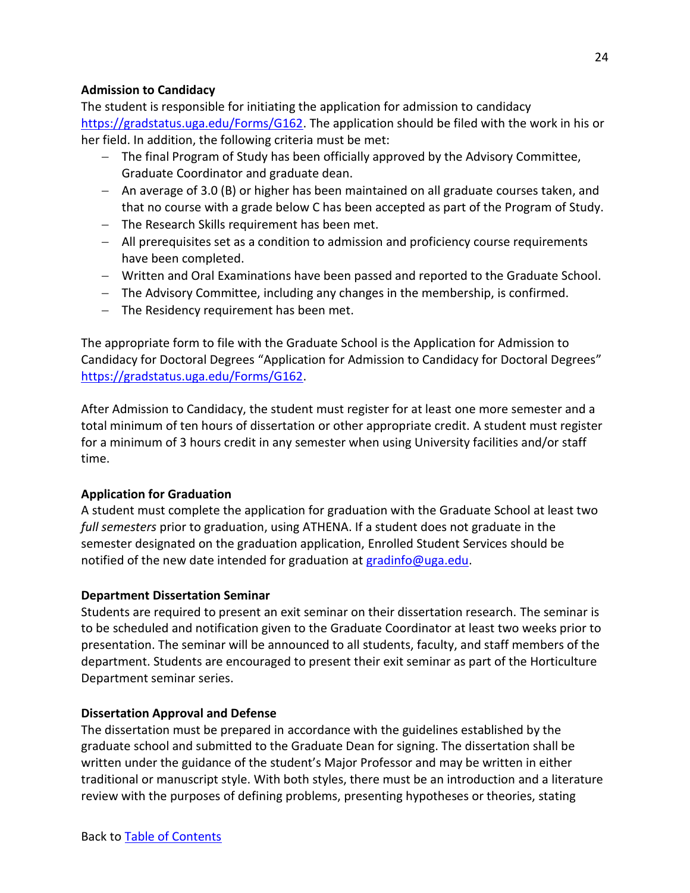# <span id="page-23-0"></span>**Admission to Candidacy**

The student is responsible for initiating the application for admission to candidacy [https://gradstatus.uga.edu/Forms/G162.](https://gradstatus.uga.edu/Forms/G162) The application should be filed with the work in his or her field. In addition, the following criteria must be met:

- − The final Program of Study has been officially approved by the Advisory Committee, Graduate Coordinator and graduate dean.
- − An average of 3.0 (B) or higher has been maintained on all graduate courses taken, and that no course with a grade below C has been accepted as part of the Program of Study.
- − The Research Skills requirement has been met.
- − All prerequisites set as a condition to admission and proficiency course requirements have been completed.
- − Written and Oral Examinations have been passed and reported to the Graduate School.
- − The Advisory Committee, including any changes in the membership, is confirmed.
- − The Residency requirement has been met.

The appropriate form to file with the Graduate School is the Application for Admission to Candidacy for Doctoral Degrees "[Application for Admission to Candidacy for Doctoral Degrees](http://grad.uga.edu/wp-content/uploads/2014/09/body_candphd.pdf)" [https://gradstatus.uga.edu/Forms/G162.](https://gradstatus.uga.edu/Forms/G162)

After Admission to Candidacy, the student must register for at least one more semester and a total minimum of ten hours of dissertation or other appropriate credit. A student must register for a minimum of 3 hours credit in any semester when using University facilities and/or staff time.

# <span id="page-23-1"></span>**Application for Graduation**

A student must complete the application for graduation with the Graduate School at least two *full semesters* prior to graduation, using ATHENA. If a student does not graduate in the semester designated on the graduation application, Enrolled Student Services should be notified of the new date intended for graduation at [gradinfo@uga.edu.](mailto:gradinfo@uga.edu)

### <span id="page-23-2"></span>**Department Dissertation Seminar**

Students are required to present an exit seminar on their dissertation research. The seminar is to be scheduled and notification given to the Graduate Coordinator at least two weeks prior to presentation. The seminar will be announced to all students, faculty, and staff members of the department. Students are encouraged to present their exit seminar as part of the Horticulture Department seminar series.

### <span id="page-23-3"></span>**Dissertation Approval and Defense**

The dissertation must be prepared in accordance with the guidelines established by the graduate school and submitted to the Graduate Dean for signing. The dissertation shall be written under the guidance of the student's Major Professor and may be written in either traditional or manuscript style. With both styles, there must be an introduction and a literature review with the purposes of defining problems, presenting hypotheses or theories, stating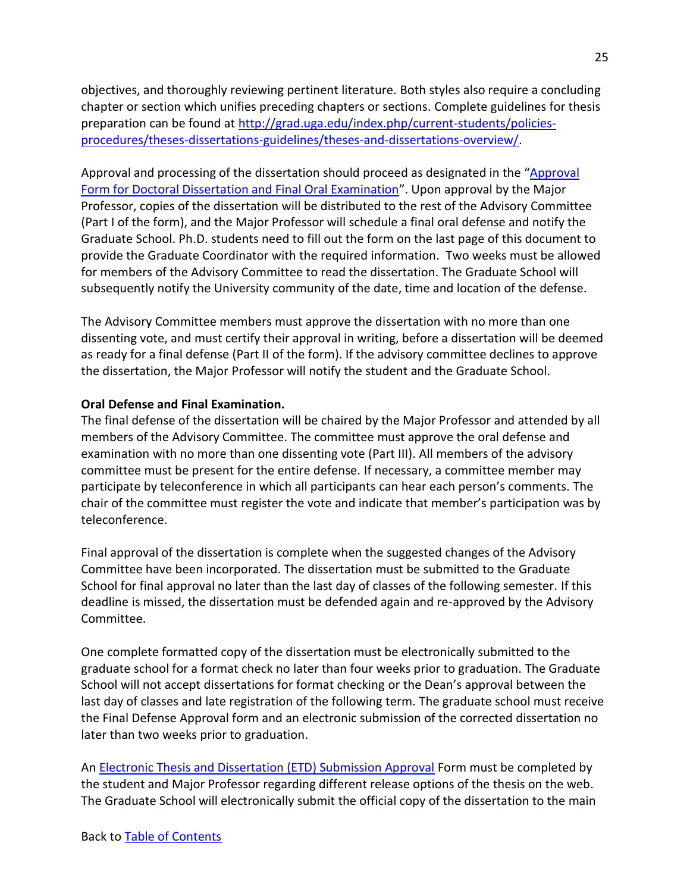objectives, and thoroughly reviewing pertinent literature. Both styles also require a concluding chapter or section which unifies preceding chapters or sections. Complete guidelines for thesis preparation can be found at [http://grad.uga.edu/index.php/current-students/policies](http://grad.uga.edu/index.php/current-students/policies-procedures/theses-dissertations-guidelines/theses-and-dissertations-overview/)[procedures/theses-dissertations-guidelines/theses-and-dissertations-overview/.](http://grad.uga.edu/index.php/current-students/policies-procedures/theses-dissertations-guidelines/theses-and-dissertations-overview/)

Approval and processing of the dissertation should proceed as designated in the "[Approval](https://www.fcs.uga.edu/docs/body_appphddis.pdf)  [Form for Doctoral Dissertation and Final Oral Examination](https://www.fcs.uga.edu/docs/body_appphddis.pdf)". Upon approval by the Major Professor, copies of the dissertation will be distributed to the rest of the Advisory Committee (Part I of the form), and the Major Professor will schedule a final oral defense and notify the Graduate School. Ph.D. students need to fill out the form on the last page of this document to provide the Graduate Coordinator with the required information. Two weeks must be allowed for members of the Advisory Committee to read the dissertation. The Graduate School will subsequently notify the University community of the date, time and location of the defense.

The Advisory Committee members must approve the dissertation with no more than one dissenting vote, and must certify their approval in writing, before a dissertation will be deemed as ready for a final defense (Part II of the form). If the advisory committee declines to approve the dissertation, the Major Professor will notify the student and the Graduate School.

### **Oral Defense and Final Examination.**

The final defense of the dissertation will be chaired by the Major Professor and attended by all members of the Advisory Committee. The committee must approve the oral defense and examination with no more than one dissenting vote (Part III). All members of the advisory committee must be present for the entire defense. If necessary, a committee member may participate by teleconference in which all participants can hear each person's comments. The chair of the committee must register the vote and indicate that member's participation was by teleconference.

Final approval of the dissertation is complete when the suggested changes of the Advisory Committee have been incorporated. The dissertation must be submitted to the Graduate School for final approval no later than the last day of classes of the following semester. If this deadline is missed, the dissertation must be defended again and re-approved by the Advisory Committee.

One complete formatted copy of the dissertation must be electronically submitted to the graduate school for a format check no later than four weeks prior to graduation. The Graduate School will not accept dissertations for format checking or the Dean's approval between the last day of classes and late registration of the following term. The graduate school must receive the Final Defense Approval form and an electronic submission of the corrected dissertation no later than two weeks prior to graduation.

An [Electronic Thesis and Dissertation \(ETD\) Submission Approval](https://gradstatus.uga.edu/Forms/G129) Form must be completed by the student and Major Professor regarding different release options of the thesis on the web. The Graduate School will electronically submit the official copy of the dissertation to the main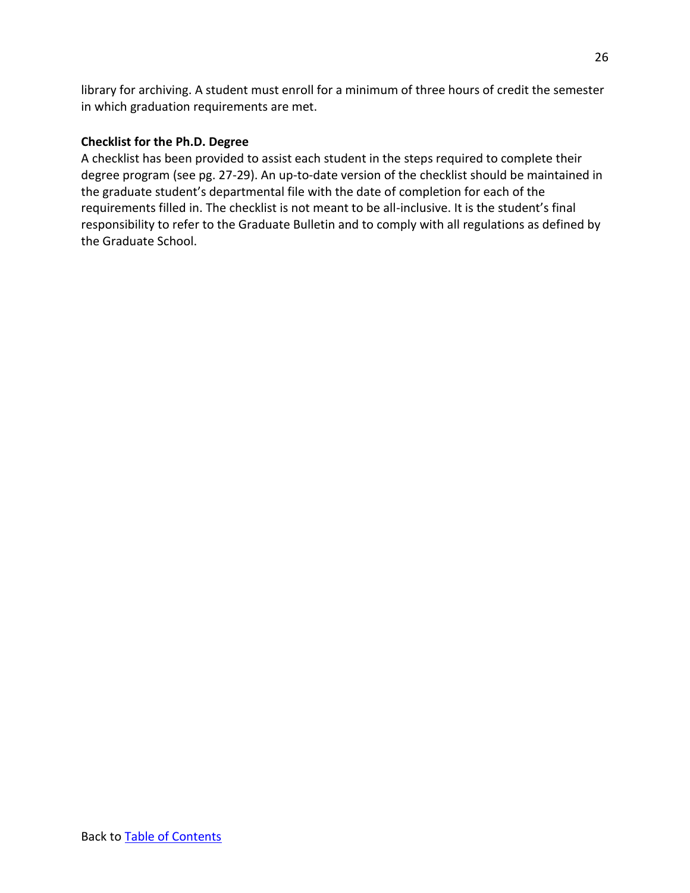library for archiving. A student must enroll for a minimum of three hours of credit the semester in which graduation requirements are met.

# <span id="page-25-0"></span>**Checklist for the Ph.D. Degree**

A checklist has been provided to assist each student in the steps required to complete their degree program (see pg. 27-29). An up-to-date version of the checklist should be maintained in the graduate student's departmental file with the date of completion for each of the requirements filled in. The checklist is not meant to be all-inclusive. It is the student's final responsibility to refer to the Graduate Bulletin and to comply with all regulations as defined by the Graduate School.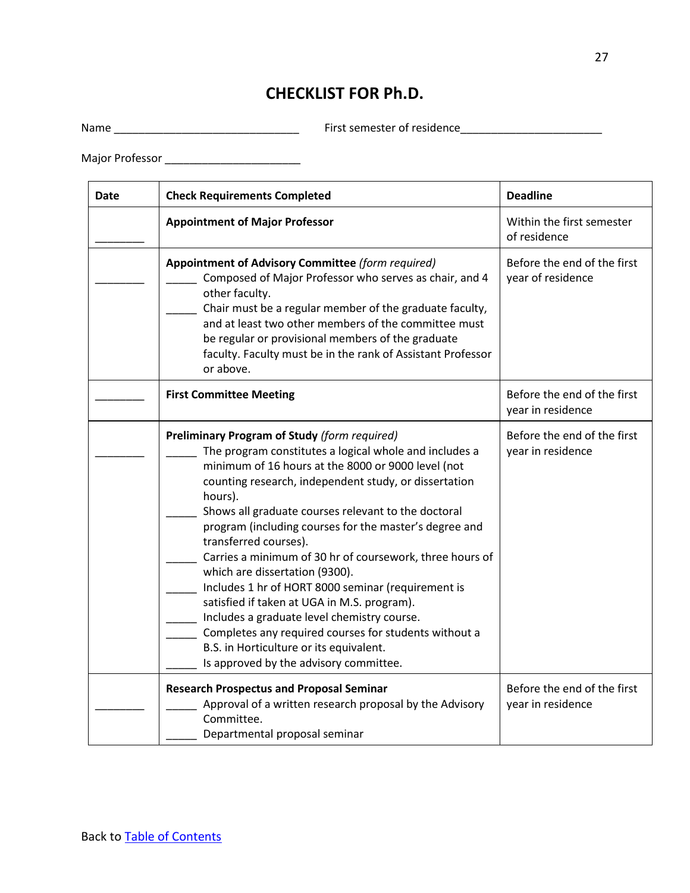# **CHECKLIST FOR Ph.D.**

Name \_\_\_\_\_\_\_\_\_\_\_\_\_\_\_\_\_\_\_\_\_\_\_\_\_\_\_\_\_\_ First semester of residence\_\_\_\_\_\_\_\_\_\_\_\_\_\_\_\_\_\_\_\_\_\_\_

Major Professor \_\_\_\_\_\_\_\_\_\_\_\_\_\_\_\_\_\_\_\_\_\_

| Date | <b>Check Requirements Completed</b>                                                                                                                                                                                                                                                                                                                                                                                                                                                                                                                                                                                                                                                                                                                                               | <b>Deadline</b>                                  |
|------|-----------------------------------------------------------------------------------------------------------------------------------------------------------------------------------------------------------------------------------------------------------------------------------------------------------------------------------------------------------------------------------------------------------------------------------------------------------------------------------------------------------------------------------------------------------------------------------------------------------------------------------------------------------------------------------------------------------------------------------------------------------------------------------|--------------------------------------------------|
|      | <b>Appointment of Major Professor</b>                                                                                                                                                                                                                                                                                                                                                                                                                                                                                                                                                                                                                                                                                                                                             | Within the first semester<br>of residence        |
|      | Appointment of Advisory Committee (form required)<br>Composed of Major Professor who serves as chair, and 4<br>other faculty.<br>Chair must be a regular member of the graduate faculty,<br>and at least two other members of the committee must<br>be regular or provisional members of the graduate<br>faculty. Faculty must be in the rank of Assistant Professor<br>or above.                                                                                                                                                                                                                                                                                                                                                                                                 | Before the end of the first<br>year of residence |
|      | <b>First Committee Meeting</b>                                                                                                                                                                                                                                                                                                                                                                                                                                                                                                                                                                                                                                                                                                                                                    | Before the end of the first<br>year in residence |
|      | <b>Preliminary Program of Study (form required)</b><br>The program constitutes a logical whole and includes a<br>minimum of 16 hours at the 8000 or 9000 level (not<br>counting research, independent study, or dissertation<br>hours).<br>Shows all graduate courses relevant to the doctoral<br>program (including courses for the master's degree and<br>transferred courses).<br>Carries a minimum of 30 hr of coursework, three hours of<br>which are dissertation (9300).<br>Includes 1 hr of HORT 8000 seminar (requirement is<br>satisfied if taken at UGA in M.S. program).<br>Includes a graduate level chemistry course.<br>Completes any required courses for students without a<br>B.S. in Horticulture or its equivalent.<br>Is approved by the advisory committee. | Before the end of the first<br>year in residence |
|      | <b>Research Prospectus and Proposal Seminar</b><br>Approval of a written research proposal by the Advisory<br>Committee.<br>Departmental proposal seminar                                                                                                                                                                                                                                                                                                                                                                                                                                                                                                                                                                                                                         | Before the end of the first<br>year in residence |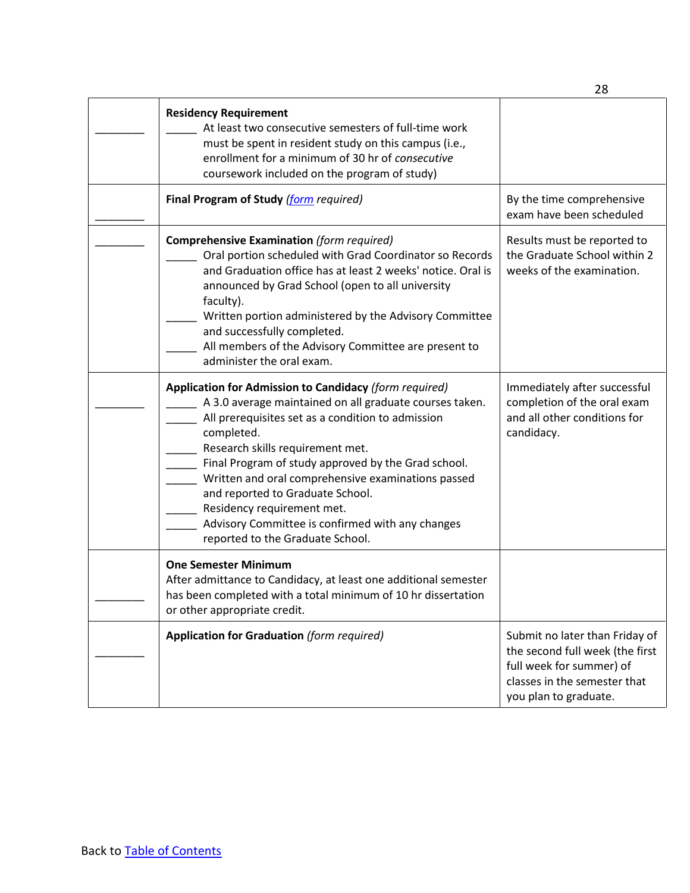|                                                                                                                                                                                                                                                                                                                                                                                                                                                                                                 | 28                                                                                                                                                     |
|-------------------------------------------------------------------------------------------------------------------------------------------------------------------------------------------------------------------------------------------------------------------------------------------------------------------------------------------------------------------------------------------------------------------------------------------------------------------------------------------------|--------------------------------------------------------------------------------------------------------------------------------------------------------|
| <b>Residency Requirement</b><br>At least two consecutive semesters of full-time work<br>must be spent in resident study on this campus (i.e.,<br>enrollment for a minimum of 30 hr of consecutive<br>coursework included on the program of study)                                                                                                                                                                                                                                               |                                                                                                                                                        |
| Final Program of Study (form required)                                                                                                                                                                                                                                                                                                                                                                                                                                                          | By the time comprehensive<br>exam have been scheduled                                                                                                  |
| <b>Comprehensive Examination (form required)</b><br>Oral portion scheduled with Grad Coordinator so Records<br>and Graduation office has at least 2 weeks' notice. Oral is<br>announced by Grad School (open to all university<br>faculty).<br>Written portion administered by the Advisory Committee<br>and successfully completed.<br>All members of the Advisory Committee are present to<br>administer the oral exam.                                                                       | Results must be reported to<br>the Graduate School within 2<br>weeks of the examination.                                                               |
| Application for Admission to Candidacy (form required)<br>A 3.0 average maintained on all graduate courses taken.<br>All prerequisites set as a condition to admission<br>completed.<br>Research skills requirement met.<br>Final Program of study approved by the Grad school.<br>Written and oral comprehensive examinations passed<br>and reported to Graduate School.<br>Residency requirement met.<br>Advisory Committee is confirmed with any changes<br>reported to the Graduate School. | Immediately after successful<br>completion of the oral exam<br>and all other conditions for<br>candidacy.                                              |
| <b>One Semester Minimum</b><br>After admittance to Candidacy, at least one additional semester<br>has been completed with a total minimum of 10 hr dissertation<br>or other appropriate credit.                                                                                                                                                                                                                                                                                                 |                                                                                                                                                        |
| <b>Application for Graduation (form required)</b>                                                                                                                                                                                                                                                                                                                                                                                                                                               | Submit no later than Friday of<br>the second full week (the first<br>full week for summer) of<br>classes in the semester that<br>you plan to graduate. |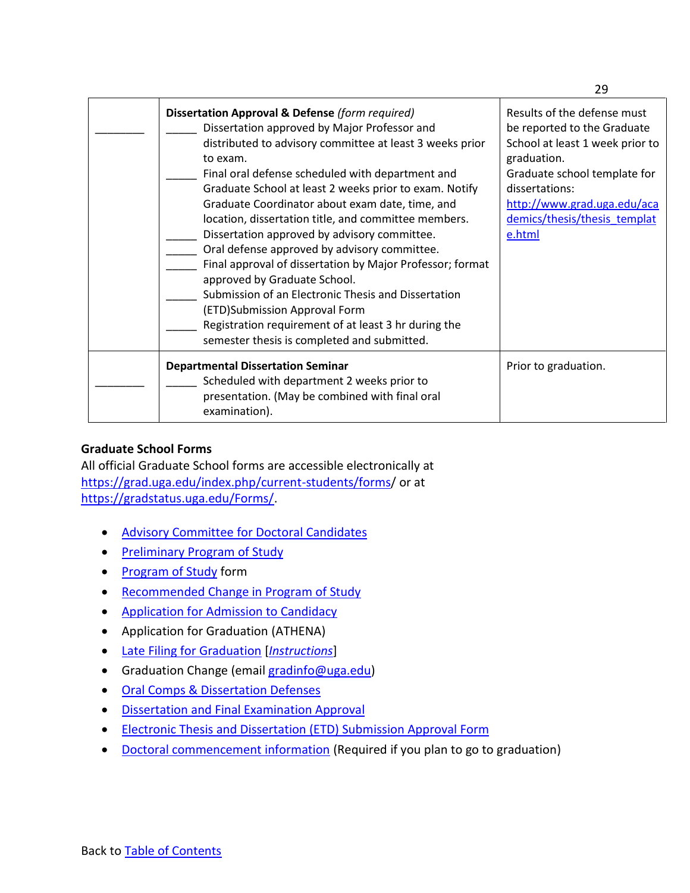| Dissertation Approval & Defense (form required)<br>Dissertation approved by Major Professor and<br>distributed to advisory committee at least 3 weeks prior<br>to exam.<br>Final oral defense scheduled with department and<br>Graduate School at least 2 weeks prior to exam. Notify<br>Graduate Coordinator about exam date, time, and<br>location, dissertation title, and committee members.<br>Dissertation approved by advisory committee.<br>Oral defense approved by advisory committee.<br>Final approval of dissertation by Major Professor; format<br>approved by Graduate School.<br>Submission of an Electronic Thesis and Dissertation<br>(ETD)Submission Approval Form<br>Registration requirement of at least 3 hr during the<br>semester thesis is completed and submitted. | Results of the defense must<br>be reported to the Graduate<br>School at least 1 week prior to<br>graduation.<br>Graduate school template for<br>dissertations:<br>http://www.grad.uga.edu/aca<br>demics/thesis/thesis_templat<br>e.html |
|----------------------------------------------------------------------------------------------------------------------------------------------------------------------------------------------------------------------------------------------------------------------------------------------------------------------------------------------------------------------------------------------------------------------------------------------------------------------------------------------------------------------------------------------------------------------------------------------------------------------------------------------------------------------------------------------------------------------------------------------------------------------------------------------|-----------------------------------------------------------------------------------------------------------------------------------------------------------------------------------------------------------------------------------------|
| <b>Departmental Dissertation Seminar</b><br>Scheduled with department 2 weeks prior to<br>presentation. (May be combined with final oral<br>examination).                                                                                                                                                                                                                                                                                                                                                                                                                                                                                                                                                                                                                                    | Prior to graduation.                                                                                                                                                                                                                    |

# <span id="page-28-0"></span>**Graduate School Forms**

All official Graduate School forms are accessible electronically at <https://grad.uga.edu/index.php/current-students/forms/> or at [https://gradstatus.uga.edu/Forms/.](https://gradstatus.uga.edu/Forms/)

- [Advisory Committee for Doctoral Candidates](https://gradstatus.uga.edu/Forms/G130)
- [Preliminary Program of Study](http://grad.uga.edu/wp-content/uploads/2017/08/body_prephdprg.pdf)
- [Program of Study](https://gradstatus.uga.edu/Forms/G138) form
- [Recommended Change in Program of Study](http://grad.uga.edu/wp-content/uploads/2017/08/body_recochgprog.pdf)
- Application for [Admission](https://gradstatus.uga.edu/Forms/G162) to Candidacy
- Application for Graduation (ATHENA)
- [Late Filing for Graduation](https://gradstatus.uga.edu/Forms/G139) [*[Instructions](http://grad.uga.edu/wp-content/uploads/2018/01/Late-filing-for-graduation-how-to-submit.pdf)*]
- Graduation Change (email gradinfo@uga.edu)
- [Oral Comps & Dissertation Defenses](https://grad.uga.edu/index.php/current-students/policies-procedures/oral-comps-dissertation-defenses/)
- [Dissertation and Final Examination Approval](https://www.fcs.uga.edu/docs/body_appphddis.pdf)
- [Electronic Thesis and Dissertation \(ETD\) Submission Approval Form](https://gradstatus.uga.edu/Forms/G129)
- [Doctoral commencement information](https://gradstatus.uga.edu/Forms/G120) (Required if you plan to go to graduation)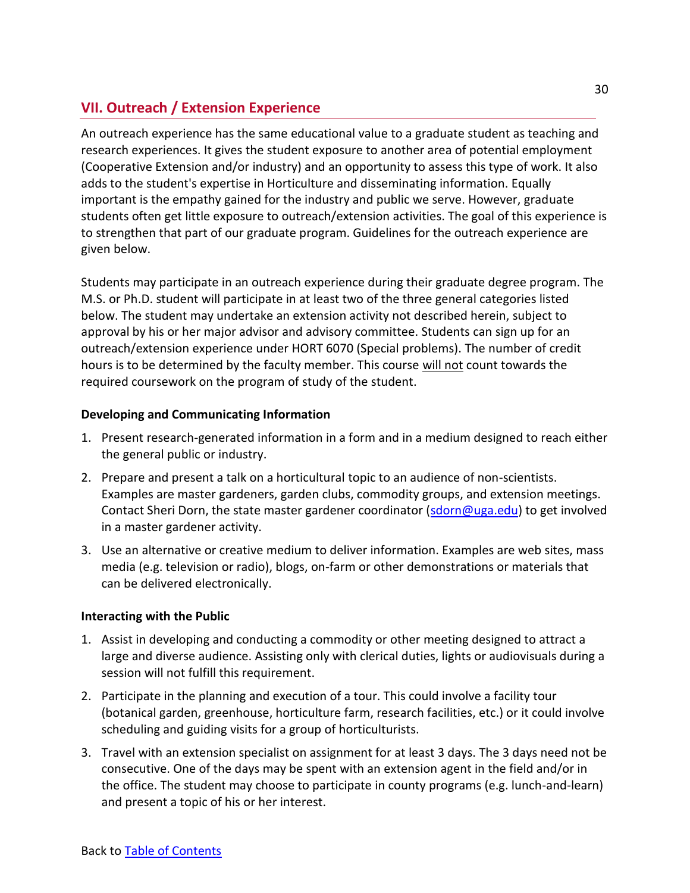# <span id="page-29-0"></span>**VII. Outreach / Extension Experience**

An outreach experience has the same educational value to a graduate student as teaching and research experiences. It gives the student exposure to another area of potential employment (Cooperative Extension and/or industry) and an opportunity to assess this type of work. It also adds to the student's expertise in Horticulture and disseminating information. Equally important is the empathy gained for the industry and public we serve. However, graduate students often get little exposure to outreach/extension activities. The goal of this experience is to strengthen that part of our graduate program. Guidelines for the outreach experience are given below.

Students may participate in an outreach experience during their graduate degree program. The M.S. or Ph.D. student will participate in at least two of the three general categories listed below. The student may undertake an extension activity not described herein, subject to approval by his or her major advisor and advisory committee. Students can sign up for an outreach/extension experience under HORT 6070 (Special problems). The number of credit hours is to be determined by the faculty member. This course will not count towards the required coursework on the program of study of the student.

# **Developing and Communicating Information**

- 1. Present research-generated information in a form and in a medium designed to reach either the general public or industry.
- 2. Prepare and present a talk on a horticultural topic to an audience of non-scientists. Examples are master gardeners, garden clubs, commodity groups, and extension meetings. Contact Sheri Dorn, the state master gardener coordinator [\(sdorn@uga.edu\)](mailto:sdorn@uga.edu) to get involved in a master gardener activity.
- 3. Use an alternative or creative medium to deliver information. Examples are web sites, mass media (e.g. television or radio), blogs, on-farm or other demonstrations or materials that can be delivered electronically.

### **Interacting with the Public**

- 1. Assist in developing and conducting a commodity or other meeting designed to attract a large and diverse audience. Assisting only with clerical duties, lights or audiovisuals during a session will not fulfill this requirement.
- 2. Participate in the planning and execution of a tour. This could involve a facility tour (botanical garden, greenhouse, horticulture farm, research facilities, etc.) or it could involve scheduling and guiding visits for a group of horticulturists.
- 3. Travel with an extension specialist on assignment for at least 3 days. The 3 days need not be consecutive. One of the days may be spent with an extension agent in the field and/or in the office. The student may choose to participate in county programs (e.g. lunch-and-learn) and present a topic of his or her interest.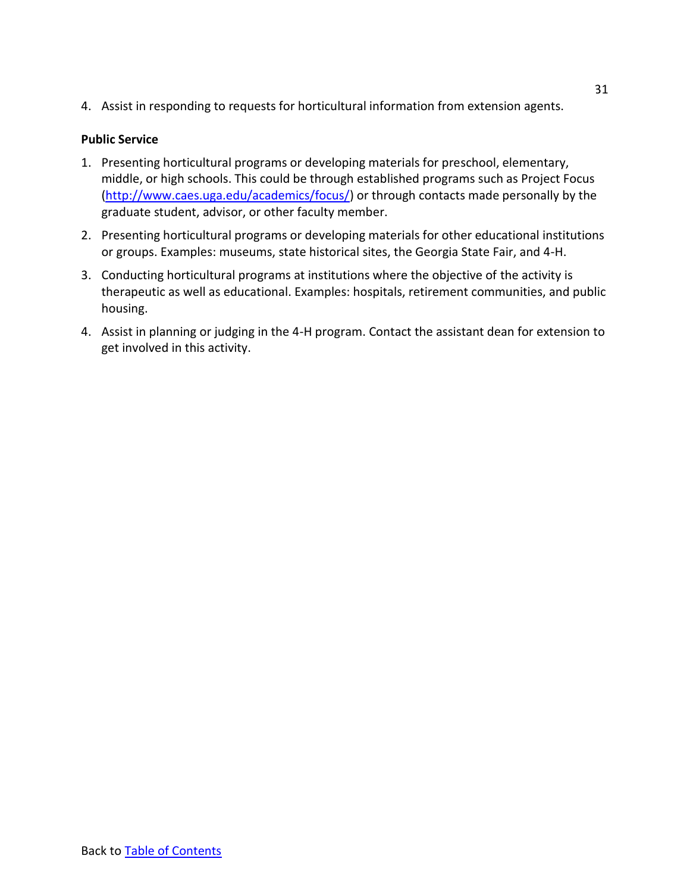4. Assist in responding to requests for horticultural information from extension agents.

# **Public Service**

- 1. Presenting horticultural programs or developing materials for preschool, elementary, middle, or high schools. This could be through established programs such as Project Focus [\(http://www.caes.uga.edu/academics/focus/\)](http://www.caes.uga.edu/academics/focus/) or through contacts made personally by the graduate student, advisor, or other faculty member.
- 2. Presenting horticultural programs or developing materials for other educational institutions or groups. Examples: museums, state historical sites, the Georgia State Fair, and 4-H.
- 3. Conducting horticultural programs at institutions where the objective of the activity is therapeutic as well as educational. Examples: hospitals, retirement communities, and public housing.
- 4. Assist in planning or judging in the 4-H program. Contact the assistant dean for extension to get involved in this activity.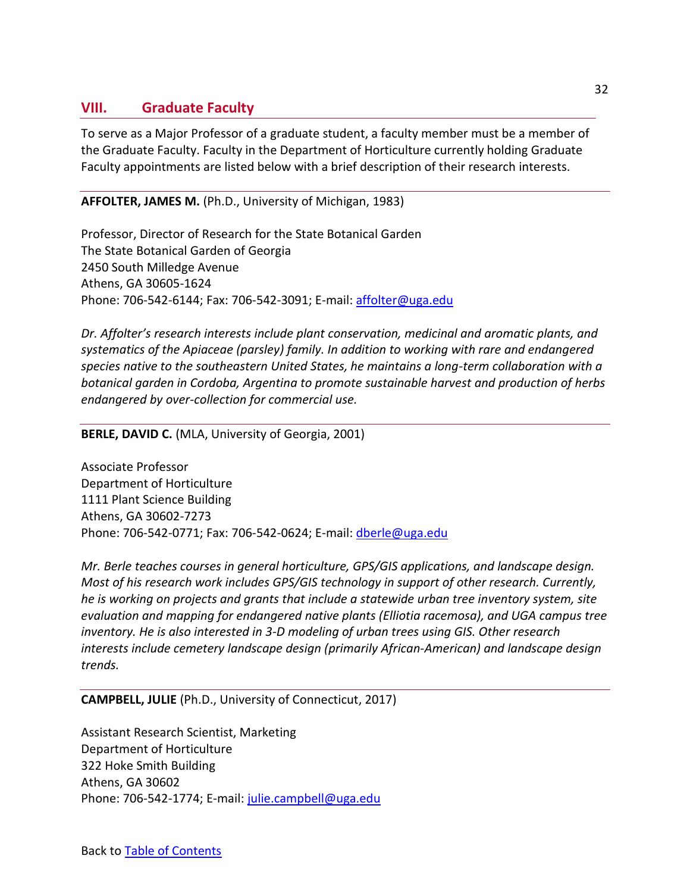# <span id="page-31-0"></span>**VIII. Graduate Faculty**

To serve as a Major Professor of a graduate student, a faculty member must be a member of the Graduate Faculty. Faculty in the Department of Horticulture currently holding Graduate Faculty appointments are listed below with a brief description of their research interests.

**AFFOLTER, JAMES M.** (Ph.D., University of Michigan, 1983)

Professor, Director of Research for the State Botanical Garden The State Botanical Garden of Georgia 2450 South Milledge Avenue Athens, GA 30605-1624 Phone: 706-542-6144; Fax: 706-542-3091; E-mail: [affolter@uga.edu](mailto:affolter@uga.edu)

*Dr. Affolter's research interests include plant conservation, medicinal and aromatic plants, and systematics of the Apiaceae (parsley) family. In addition to working with rare and endangered species native to the southeastern United States, he maintains a long-term collaboration with a botanical garden in Cordoba, Argentina to promote sustainable harvest and production of herbs endangered by over-collection for commercial use.*

**BERLE, DAVID C.** (MLA, University of Georgia, 2001)

Associate Professor Department of Horticulture 1111 Plant Science Building Athens, GA 30602-7273 Phone: 706-542-0771; Fax: 706-542-0624; E-mail: [dberle@uga.edu](mailto:dberle@uga.edu)

*Mr. Berle teaches courses in general horticulture, GPS/GIS applications, and landscape design. Most of his research work includes GPS/GIS technology in support of other research. Currently, he is working on projects and grants that include a statewide urban tree inventory system, site evaluation and mapping for endangered native plants (Elliotia racemosa), and UGA campus tree inventory. He is also interested in 3-D modeling of urban trees using GIS. Other research interests include cemetery landscape design (primarily African-American) and landscape design trends.*

### **CAMPBELL, JULIE** (Ph.D., University of Connecticut, 2017)

Assistant Research Scientist, Marketing Department of Horticulture 322 Hoke Smith Building Athens, GA 30602 Phone: 706-542-1774; E-mail: [julie.campbell@uga.edu](mailto:julie.campbell@uga.edu)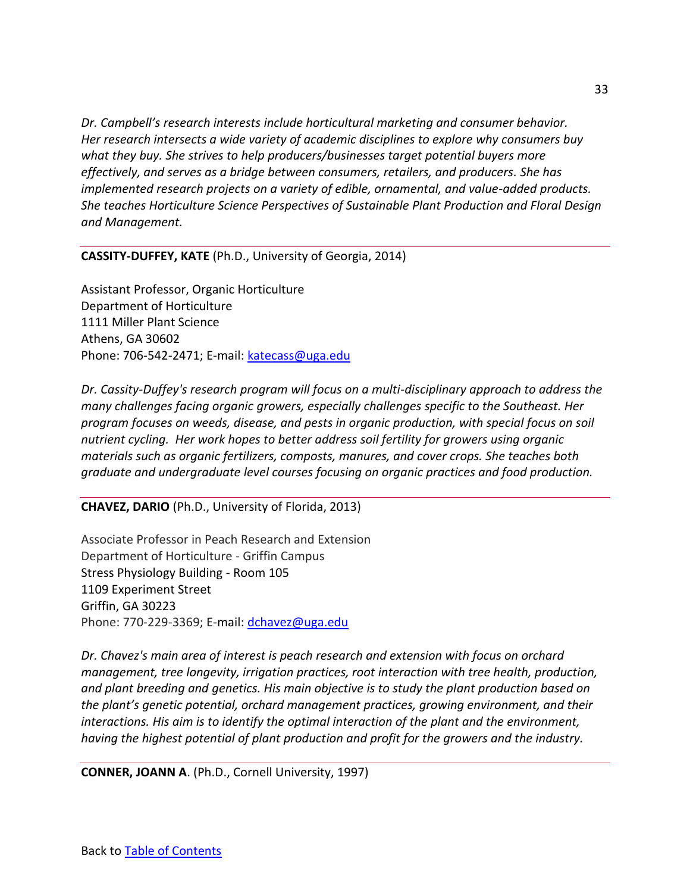*Dr. Campbell's research interests include horticultural marketing and consumer behavior. Her research intersects a wide variety of academic disciplines to explore why consumers buy what they buy. She strives to help producers/businesses target potential buyers more effectively, and serves as a bridge between consumers, retailers, and producers. She has implemented research projects on a variety of edible, ornamental, and value-added products. She teaches Horticulture Science Perspectives of Sustainable Plant Production and Floral Design and Management.*

**CASSITY-DUFFEY, KATE** (Ph.D., University of Georgia, 2014)

Assistant Professor, Organic Horticulture Department of Horticulture 1111 Miller Plant Science Athens, GA 30602 Phone: 706-542-2471; E-mail: [katecass@uga.edu](mailto:katecass@uga.edu)

*Dr. Cassity-Duffey's research program will focus on a multi-disciplinary approach to address the many challenges facing organic growers, especially challenges specific to the Southeast. Her program focuses on weeds, disease, and pests in organic production, with special focus on soil nutrient cycling. Her work hopes to better address soil fertility for growers using organic materials such as organic fertilizers, composts, manures, and cover crops. She teaches both graduate and undergraduate level courses focusing on organic practices and food production.*

**CHAVEZ, DARIO** (Ph.D., University of Florida, 2013)

Associate Professor in Peach Research and Extension Department of Horticulture - Griffin Campus Stress Physiology Building - Room 105 1109 Experiment Street Griffin, GA 30223 Phone: 770-229-3369; E-mail: [dchavez@uga.edu](mailto:dchavez@uga.edu)

*Dr. Chavez's main area of interest is peach research and extension with focus on orchard management, tree longevity, irrigation practices, root interaction with tree health, production, and plant breeding and genetics. His main objective is to study the plant production based on the plant's genetic potential, orchard management practices, growing environment, and their interactions. His aim is to identify the optimal interaction of the plant and the environment, having the highest potential of plant production and profit for the growers and the industry.* 

**CONNER, JOANN A**. (Ph.D., Cornell University, 1997)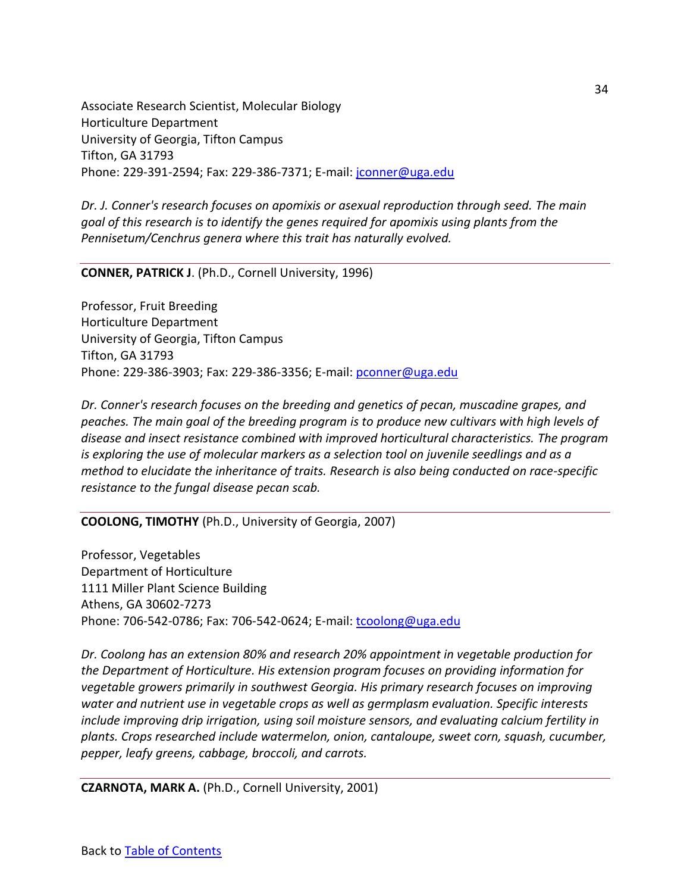Associate Research Scientist, Molecular Biology Horticulture Department University of Georgia, Tifton Campus Tifton, GA 31793 Phone: 229-391-2594; Fax: 229-386-7371; E-mail: [jconner@uga.edu](mailto:jconner@uga.edu)

*Dr. J. Conner's research focuses on apomixis or asexual reproduction through seed. The main goal of this research is to identify the genes required for apomixis using plants from the Pennisetum/Cenchrus genera where this trait has naturally evolved.*

**CONNER, PATRICK J**. (Ph.D., Cornell University, 1996)

Professor, Fruit Breeding Horticulture Department University of Georgia, Tifton Campus Tifton, GA 31793 Phone: 229-386-3903; Fax: 229-386-3356; E-mail: [pconner@uga.edu](mailto:pconner@uga.edu)

*Dr. Conner's research focuses on the breeding and genetics of pecan, muscadine grapes, and peaches. The main goal of the breeding program is to produce new cultivars with high levels of disease and insect resistance combined with improved horticultural characteristics. The program is exploring the use of molecular markers as a selection tool on juvenile seedlings and as a method to elucidate the inheritance of traits. Research is also being conducted on race-specific resistance to the fungal disease pecan scab.*

**COOLONG, TIMOTHY** (Ph.D., University of Georgia, 2007)

Professor, Vegetables Department of Horticulture 1111 Miller Plant Science Building Athens, GA 30602-7273 Phone: 706-542-0786; Fax: 706-542-0624; E-mail: [tcoolong@uga.edu](mailto:tcoolong@uga.edu)

*Dr. Coolong has an extension 80% and research 20% appointment in vegetable production for the Department of Horticulture. His extension program focuses on providing information for vegetable growers primarily in southwest Georgia. His primary research focuses on improving water and nutrient use in vegetable crops as well as germplasm evaluation. Specific interests include improving drip irrigation, using soil moisture sensors, and evaluating calcium fertility in plants. Crops researched include watermelon, onion, cantaloupe, sweet corn, squash, cucumber, pepper, leafy greens, cabbage, broccoli, and carrots.* 

**CZARNOTA, MARK A.** (Ph.D., Cornell University, 2001)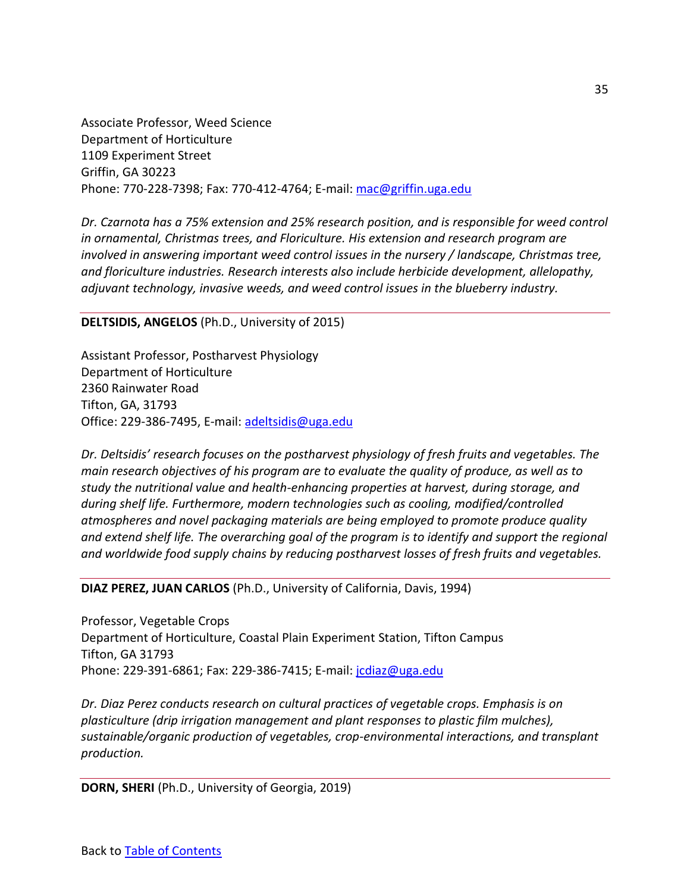Associate Professor, Weed Science Department of Horticulture 1109 Experiment Street Griffin, GA 30223 Phone: 770-228-7398; Fax: 770-412-4764; E-mail: [mac@griffin.uga.edu](mailto:mac@griffin.uga.edu)

*Dr. Czarnota has a 75% extension and 25% research position, and is responsible for weed control in ornamental, Christmas trees, and Floriculture. His extension and research program are involved in answering important weed control issues in the nursery / landscape, Christmas tree, and floriculture industries. Research interests also include herbicide development, allelopathy, adjuvant technology, invasive weeds, and weed control issues in the blueberry industry.*

### **DELTSIDIS, ANGELOS** (Ph.D., University of 2015)

Assistant Professor, Postharvest Physiology Department of Horticulture 2360 Rainwater Road Tifton, GA, 31793 Office: 229-386-7495, E-mail: [adeltsidis@uga.edu](mailto:adeltsidis@uga.edu)

*Dr. Deltsidis' research focuses on the postharvest physiology of fresh fruits and vegetables. The main research objectives of his program are to evaluate the quality of produce, as well as to study the nutritional value and health-enhancing properties at harvest, during storage, and during shelf life. Furthermore, modern technologies such as cooling, modified/controlled atmospheres and novel packaging materials are being employed to promote produce quality and extend shelf life. The overarching goal of the program is to identify and support the regional and worldwide food supply chains by reducing postharvest losses of fresh fruits and vegetables.*

#### **DIAZ PEREZ, JUAN CARLOS** (Ph.D., University of California, Davis, 1994)

Professor, Vegetable Crops Department of Horticulture, Coastal Plain Experiment Station, Tifton Campus Tifton, GA 31793 Phone: 229-391-6861; Fax: 229-386-7415; E-mail: [jcdiaz@uga.edu](mailto:jcdiaz@uga.edu)

*Dr. Diaz Perez conducts research on cultural practices of vegetable crops. Emphasis is on plasticulture (drip irrigation management and plant responses to plastic film mulches), sustainable/organic production of vegetables, crop-environmental interactions, and transplant production.*

**DORN, SHERI** (Ph.D., University of Georgia, 2019)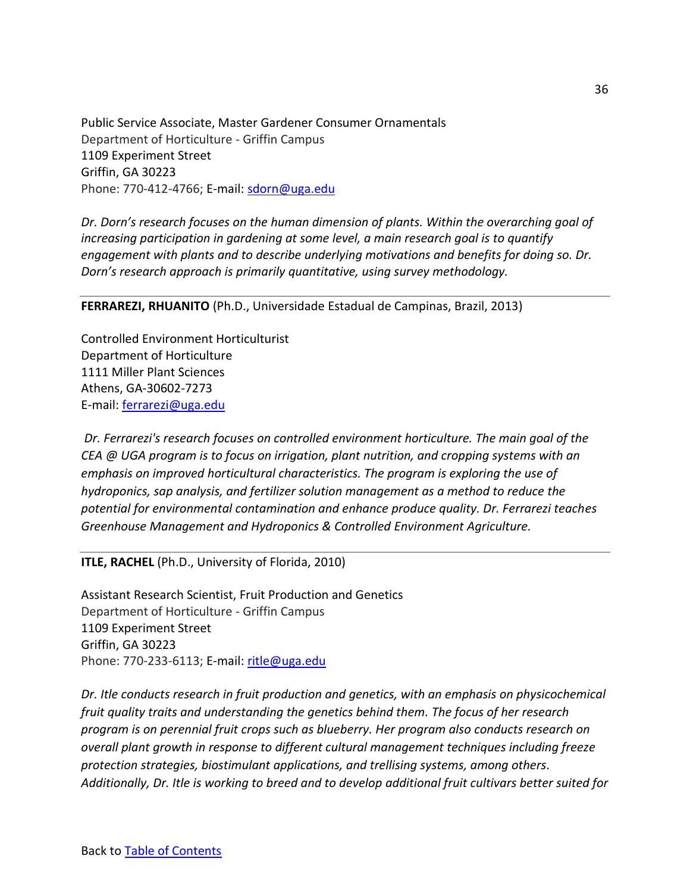Public Service Associate, Master Gardener Consumer Ornamentals Department of Horticulture - Griffin Campus 1109 Experiment Street Griffin, GA 30223 Phone: 770-412-4766; E-mail: [sdorn@uga.edu](mailto:sdorn@uga.edu)

*Dr. Dorn's research focuses on the human dimension of plants. Within the overarching goal of increasing participation in gardening at some level, a main research goal is to quantify engagement with plants and to describe underlying motivations and benefits for doing so. Dr. Dorn's research approach is primarily quantitative, using survey methodology.*

**FERRAREZI, RHUANITO** (Ph.D., Universidade Estadual de Campinas, Brazil, 2013)

Controlled Environment Horticulturist Department of Horticulture 1111 Miller Plant Sciences Athens, GA-30602-7273 E-mail: [ferrarezi@uga.edu](mailto:ferrarezi@uga.edu)

*Dr. Ferrarezi's research focuses on controlled environment horticulture. The main goal of the CEA @ UGA program is to focus on irrigation, plant nutrition, and cropping systems with an emphasis on improved horticultural characteristics. The program is exploring the use of hydroponics, sap analysis, and fertilizer solution management as a method to reduce the potential for environmental contamination and enhance produce quality. Dr. Ferrarezi teaches Greenhouse Management and Hydroponics & Controlled Environment Agriculture.*

**ITLE, RACHEL** (Ph.D., University of Florida, 2010)

Assistant Research Scientist, Fruit Production and Genetics Department of Horticulture - Griffin Campus 1109 Experiment Street Griffin, GA 30223 Phone: 770-233-6113; E-mail: [ritle@uga.edu](mailto:ritle@uga.edu)

*Dr. Itle conducts research in fruit production and genetics, with an emphasis on physicochemical fruit quality traits and understanding the genetics behind them. The focus of her research program is on perennial fruit crops such as blueberry. Her program also conducts research on overall plant growth in response to different cultural management techniques including freeze protection strategies, biostimulant applications, and trellising systems, among others. Additionally, Dr. Itle is working to breed and to develop additional fruit cultivars better suited for*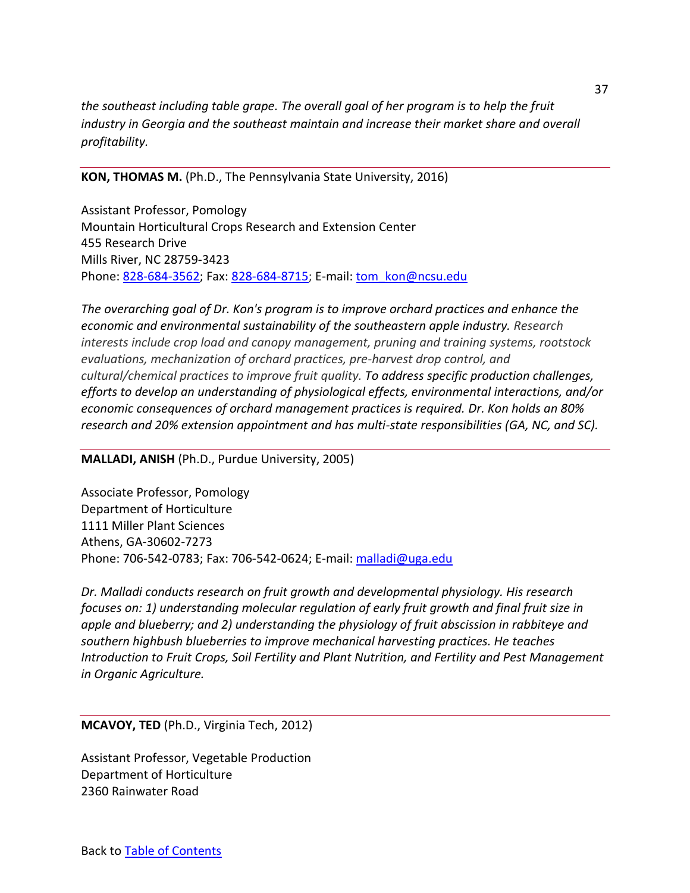*the southeast including table grape. The overall goal of her program is to help the fruit industry in Georgia and the southeast maintain and increase their market share and overall profitability.*

### **KON, THOMAS M.** (Ph.D., The Pennsylvania State University, 2016)

Assistant Professor, Pomology Mountain Horticultural Crops Research and Extension Center 455 Research Drive Mills River, NC 28759-3423 Phone: [828-684-3562;](mailto:828-684-3562) Fax: [828-684-8715;](tel:(828)%20684-8715) E-mail: [tom\\_kon@ncsu.edu](mailto:tom_kon@ncsu.edu)

*The overarching goal of Dr. Kon's program is to improve orchard practices and enhance the economic and environmental sustainability of the southeastern apple industry. Research interests include crop load and canopy management, pruning and training systems, rootstock evaluations, mechanization of orchard practices, pre-harvest drop control, and cultural/chemical practices to improve fruit quality. To address specific production challenges, efforts to develop an understanding of physiological effects, environmental interactions, and/or economic consequences of orchard management practices is required. Dr. Kon holds an 80% research and 20% extension appointment and has multi-state responsibilities (GA, NC, and SC).*

#### **MALLADI, ANISH** (Ph.D., Purdue University, 2005)

Associate Professor, Pomology Department of Horticulture 1111 Miller Plant Sciences Athens, GA-30602-7273 Phone: 706-542-0783; Fax: 706-542-0624; E-mail: [malladi@uga.edu](mailto:malladi@uga.edu)

*Dr. Malladi conducts research on fruit growth and developmental physiology. His research focuses on: 1) understanding molecular regulation of early fruit growth and final fruit size in apple and blueberry; and 2) understanding the physiology of fruit abscission in rabbiteye and southern highbush blueberries to improve mechanical harvesting practices. He teaches Introduction to Fruit Crops, Soil Fertility and Plant Nutrition, and Fertility and Pest Management in Organic Agriculture.*

**MCAVOY, TED** (Ph.D., Virginia Tech, 2012)

Assistant Professor, Vegetable Production Department of Horticulture 2360 Rainwater Road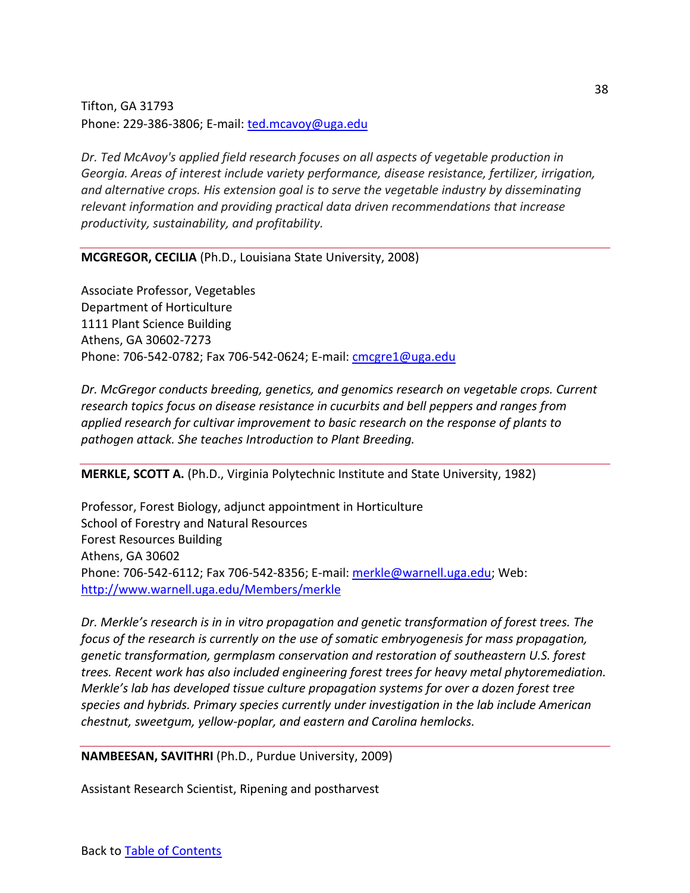Tifton, GA 31793 Phone: 229-386-3806; E-mail: [ted.mcavoy@uga.edu](mailto:cmcgre1@uga.edu)

*Dr. Ted McAvoy's applied field research focuses on all aspects of vegetable production in Georgia. Areas of interest include variety performance, disease resistance, fertilizer, irrigation, and alternative crops. His extension goal is to serve the vegetable industry by disseminating relevant information and providing practical data driven recommendations that increase productivity, sustainability, and profitability.*

**MCGREGOR, CECILIA** (Ph.D., Louisiana State University, 2008)

Associate Professor, Vegetables Department of Horticulture 1111 Plant Science Building Athens, GA 30602-7273 Phone: 706-542-0782; Fax 706-542-0624; E-mail[: cmcgre1@uga.edu](mailto:cmcgre1@uga.edu)

*Dr. McGregor conducts breeding, genetics, and genomics research on vegetable crops. Current research topics focus on disease resistance in cucurbits and bell peppers and ranges from applied research for cultivar improvement to basic research on the response of plants to pathogen attack. She teaches Introduction to Plant Breeding.*

**MERKLE, SCOTT A.** (Ph.D., Virginia Polytechnic Institute and State University, 1982)

Professor, Forest Biology, adjunct appointment in Horticulture School of Forestry and Natural Resources Forest Resources Building Athens, GA 30602 Phone: 706-542-6112; Fax 706-542-8356; E-mail[: merkle@warnell.uga.edu;](mailto:merkle@warnell.uga.edu) Web: <http://www.warnell.uga.edu/Members/merkle>

*Dr. Merkle's research is in in vitro propagation and genetic transformation of forest trees. The focus of the research is currently on the use of somatic embryogenesis for mass propagation, genetic transformation, germplasm conservation and restoration of southeastern U.S. forest trees. Recent work has also included engineering forest trees for heavy metal phytoremediation. Merkle's lab has developed tissue culture propagation systems for over a dozen forest tree species and hybrids. Primary species currently under investigation in the lab include American chestnut, sweetgum, yellow-poplar, and eastern and Carolina hemlocks.*

**NAMBEESAN, SAVITHRI** (Ph.D., Purdue University, 2009)

Assistant Research Scientist, Ripening and postharvest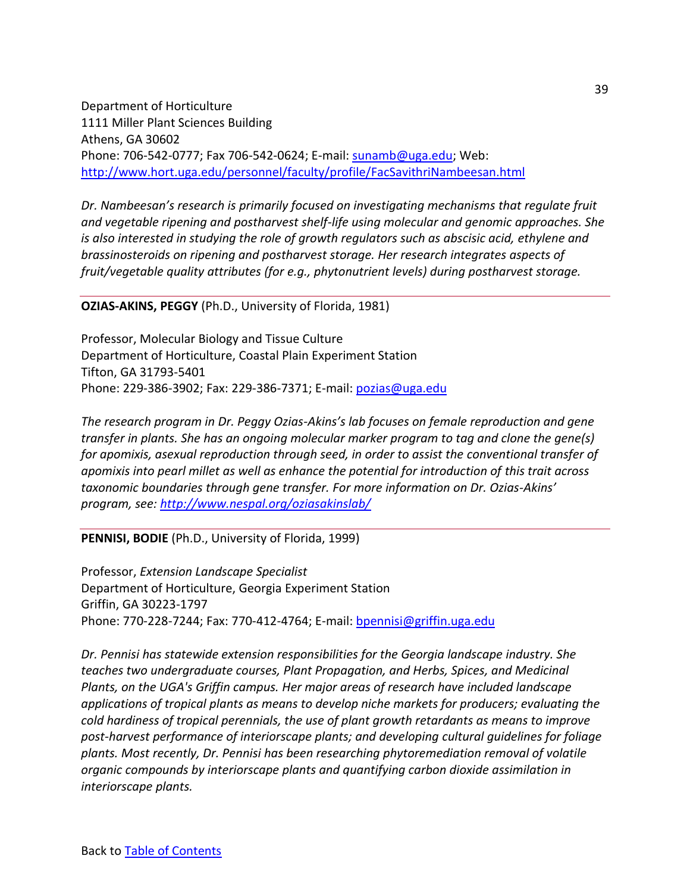Department of Horticulture 1111 Miller Plant Sciences Building Athens, GA 30602 Phone: 706-542-0777; Fax 706-542-0624; E-mail[: sunamb@uga.edu;](mailto:sunamb@uga.edu) Web: <http://www.hort.uga.edu/personnel/faculty/profile/FacSavithriNambeesan.html>

*Dr. Nambeesan's research is primarily focused on investigating mechanisms that regulate fruit and vegetable ripening and postharvest shelf-life using molecular and genomic approaches. She is also interested in studying the role of growth regulators such as abscisic acid, ethylene and brassinosteroids on ripening and postharvest storage. Her research integrates aspects of fruit/vegetable quality attributes (for e.g., phytonutrient levels) during postharvest storage.*

**OZIAS-AKINS, PEGGY** (Ph.D., University of Florida, 1981)

Professor, Molecular Biology and Tissue Culture Department of Horticulture, Coastal Plain Experiment Station Tifton, GA 31793-5401 Phone: 229-386-3902; Fax: 229-386-7371; E-mail: [pozias@uga.edu](mailto:pozias@uga.edu)

*The research program in Dr. Peggy Ozias-Akins's lab focuses on female reproduction and gene transfer in plants. She has an ongoing molecular marker program to tag and clone the gene(s) for apomixis, asexual reproduction through seed, in order to assist the conventional transfer of apomixis into pearl millet as well as enhance the potential for introduction of this trait across taxonomic boundaries through gene transfer. For more information on Dr. Ozias-Akins' program, see: <http://www.nespal.org/oziasakinslab/>*

**PENNISI, BODIE** (Ph.D., University of Florida, 1999)

Professor, *Extension Landscape Specialist* Department of Horticulture, Georgia Experiment Station Griffin, GA 30223-1797 Phone: 770-228-7244; Fax: 770-412-4764; E-mail: [bpennisi@griffin.uga.edu](mailto:bpennisi@griffin.uga.edu)

*Dr. Pennisi has statewide extension responsibilities for the Georgia landscape industry. She teaches two undergraduate courses, Plant Propagation, and Herbs, Spices, and Medicinal Plants, on the UGA's Griffin campus. Her major areas of research have included landscape applications of tropical plants as means to develop niche markets for producers; evaluating the cold hardiness of tropical perennials, the use of plant growth retardants as means to improve post-harvest performance of interiorscape plants; and developing cultural guidelines for foliage plants. Most recently, Dr. Pennisi has been researching phytoremediation removal of volatile organic compounds by interiorscape plants and quantifying carbon dioxide assimilation in interiorscape plants.*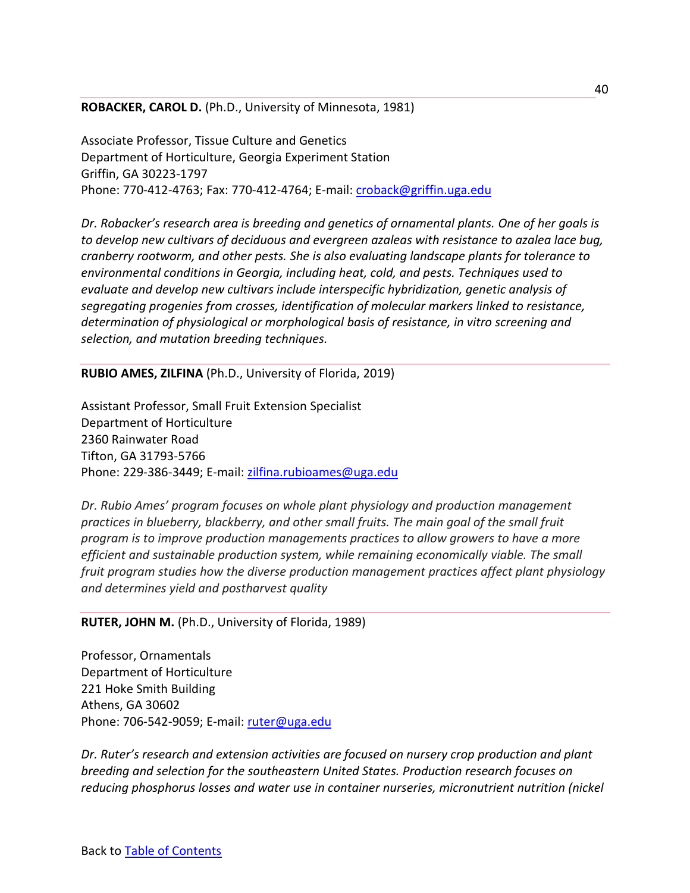**ROBACKER, CAROL D.** (Ph.D., University of Minnesota, 1981)

Associate Professor, Tissue Culture and Genetics Department of Horticulture, Georgia Experiment Station Griffin, GA 30223-1797 Phone: 770-412-4763; Fax: 770-412-4764; E-mail: [croback@griffin.uga.edu](mailto:croback@griffin.uga.edu)

*Dr. Robacker's research area is breeding and genetics of ornamental plants. One of her goals is to develop new cultivars of deciduous and evergreen azaleas with resistance to azalea lace bug, cranberry rootworm, and other pests. She is also evaluating landscape plants for tolerance to environmental conditions in Georgia, including heat, cold, and pests. Techniques used to evaluate and develop new cultivars include interspecific hybridization, genetic analysis of segregating progenies from crosses, identification of molecular markers linked to resistance, determination of physiological or morphological basis of resistance, in vitro screening and selection, and mutation breeding techniques.*

**RUBIO AMES, ZILFINA** (Ph.D., University of Florida, 2019)

Assistant Professor, Small Fruit Extension Specialist Department of Horticulture 2360 Rainwater Road Tifton, GA 31793-5766 Phone: 229-386-3449; E-mail: [zilfina.rubioames@uga.edu](mailto:croback@griffin.uga.edu)

*Dr. Rubio Ames' program focuses on whole plant physiology and production management practices in blueberry, blackberry, and other small fruits. The main goal of the small fruit program is to improve production managements practices to allow growers to have a more efficient and sustainable production system, while remaining economically viable. The small fruit program studies how the diverse production management practices affect plant physiology and determines yield and postharvest quality*

#### **RUTER, JOHN M.** (Ph.D., University of Florida, 1989)

Professor, Ornamentals Department of Horticulture 221 Hoke Smith Building Athens, GA 30602 Phone: 706-542-9059; E-mail: [ruter@uga.edu](mailto:ruter@uga.edu)

*Dr. Ruter's research and extension activities are focused on nursery crop production and plant breeding and selection for the southeastern United States. Production research focuses on reducing phosphorus losses and water use in container nurseries, micronutrient nutrition (nickel*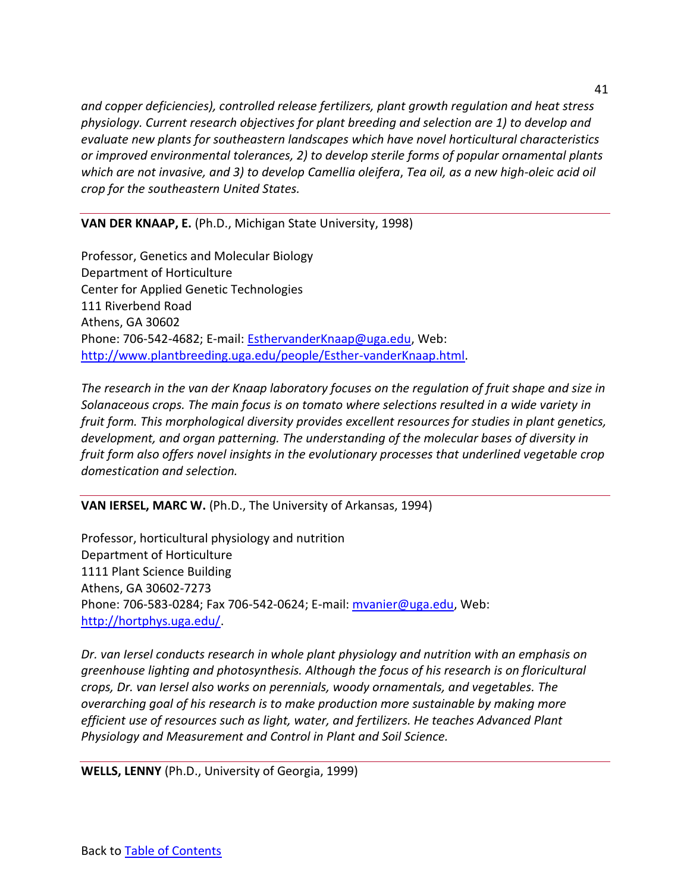*and copper deficiencies), controlled release fertilizers, plant growth regulation and heat stress physiology. Current research objectives for plant breeding and selection are 1) to develop and evaluate new plants for southeastern landscapes which have novel horticultural characteristics or improved environmental tolerances, 2) to develop sterile forms of popular ornamental plants which are not invasive, and 3) to develop Camellia oleifera*, *Tea oil, as a new high-oleic acid oil crop for the southeastern United States.* 

**VAN DER KNAAP, E.** (Ph.D., Michigan State University, 1998)

Professor, Genetics and Molecular Biology Department of Horticulture Center for Applied Genetic Technologies 111 Riverbend Road Athens, GA 30602 Phone: 706-542-4682; E-mail: [EsthervanderKnaap@uga.edu,](mailto:EsthervanderKnaap@uga.edu) Web: [http://www.plantbreeding.uga.edu/people/Esther-vanderKnaap.html.](http://www.plantbreeding.uga.edu/people/Esther-vanderKnaap.html)

*The research in the van der Knaap laboratory focuses on the regulation of fruit shape and size in Solanaceous crops. The main focus is on tomato where selections resulted in a wide variety in fruit form. This morphological diversity provides excellent resources for studies in plant genetics, development, and organ patterning. The understanding of the molecular bases of diversity in fruit form also offers novel insights in the evolutionary processes that underlined vegetable crop domestication and selection.*

**VAN IERSEL, MARC W.** (Ph.D., The University of Arkansas, 1994)

Professor, horticultural physiology and nutrition Department of Horticulture 1111 Plant Science Building Athens, GA 30602-7273 Phone: 706-583-0284; Fax 706-542-0624; E-mail[: mvanier@uga.edu,](mailto:mvanier@uga.edu) Web: [http://hortphys.uga.edu/.](http://hortphys.uga.edu/)

*Dr. van Iersel conducts research in whole plant physiology and nutrition with an emphasis on greenhouse lighting and photosynthesis. Although the focus of his research is on floricultural crops, Dr. van Iersel also works on perennials, woody ornamentals, and vegetables. The overarching goal of his research is to make production more sustainable by making more efficient use of resources such as light, water, and fertilizers. He teaches Advanced Plant Physiology and Measurement and Control in Plant and Soil Science.*

**WELLS, LENNY** (Ph.D., University of Georgia, 1999)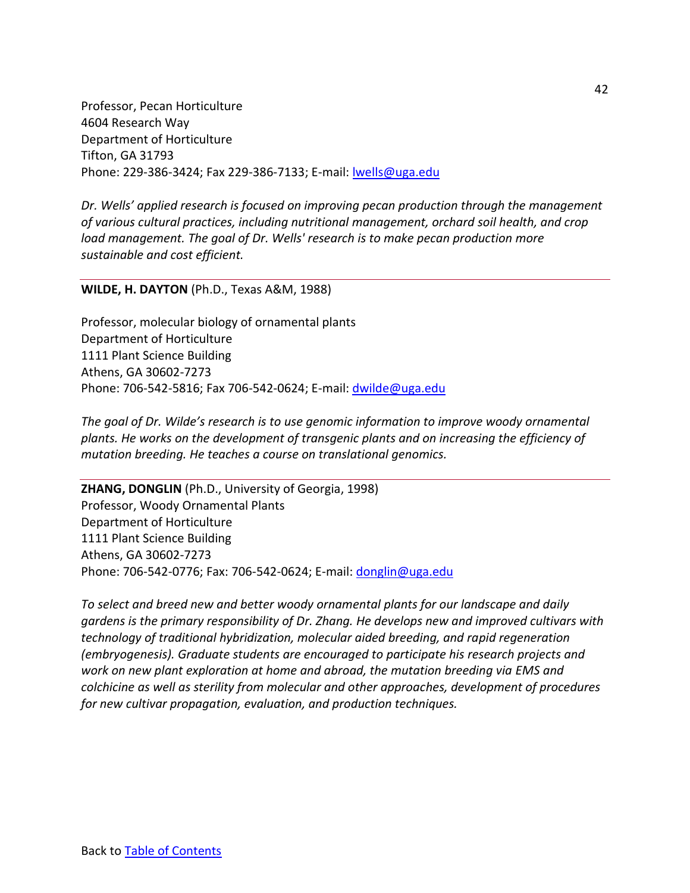Professor, Pecan Horticulture 4604 Research Way Department of Horticulture Tifton, GA 31793 Phone: 229-386-3424; Fax 229-386-7133; E-mail[: lwells@uga.edu](mailto:lwells@uga.edu)

*Dr. Wells' applied research is focused on improving pecan production through the management of various cultural practices, including nutritional management, orchard soil health, and crop load management. The goal of Dr. Wells' research is to make pecan production more sustainable and cost efficient.*

#### **WILDE, H. DAYTON** (Ph.D., Texas A&M, 1988)

Professor, molecular biology of ornamental plants Department of Horticulture 1111 Plant Science Building Athens, GA 30602-7273 Phone: 706-542-5816; Fax 706-542-0624; E-mail[: dwilde@uga.edu](mailto:dwilde@uga.edu)

*The goal of Dr. Wilde's research is to use genomic information to improve woody ornamental plants. He works on the development of transgenic plants and on increasing the efficiency of mutation breeding. He teaches a course on translational genomics.*

**ZHANG, DONGLIN** (Ph.D., University of Georgia, 1998) Professor, Woody Ornamental Plants Department of Horticulture 1111 Plant Science Building Athens, GA 30602-7273 Phone: 706-542-0776; Fax: 706-542-0624; E-mail: [donglin@uga.edu](mailto:donglin@uga.edu)

*To select and breed new and better woody ornamental plants for our landscape and daily gardens is the primary responsibility of Dr. Zhang. He develops new and improved cultivars with technology of traditional hybridization, molecular aided breeding, and rapid regeneration (embryogenesis). Graduate students are encouraged to participate his research projects and work on new plant exploration at home and abroad, the mutation breeding via EMS and colchicine as well as sterility from molecular and other approaches, development of procedures for new cultivar propagation, evaluation, and production techniques.*